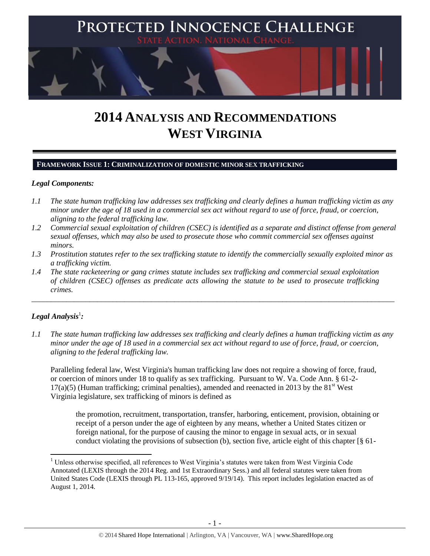

# **2014 ANALYSIS AND RECOMMENDATIONS WEST VIRGINIA**

### **FRAMEWORK ISSUE 1: CRIMINALIZATION OF DOMESTIC MINOR SEX TRAFFICKING**

## *Legal Components:*

- *1.1 The state human trafficking law addresses sex trafficking and clearly defines a human trafficking victim as any minor under the age of 18 used in a commercial sex act without regard to use of force, fraud, or coercion, aligning to the federal trafficking law.*
- *1.2 Commercial sexual exploitation of children (CSEC) is identified as a separate and distinct offense from general sexual offenses, which may also be used to prosecute those who commit commercial sex offenses against minors.*
- *1.3 Prostitution statutes refer to the sex trafficking statute to identify the commercially sexually exploited minor as a trafficking victim.*

\_\_\_\_\_\_\_\_\_\_\_\_\_\_\_\_\_\_\_\_\_\_\_\_\_\_\_\_\_\_\_\_\_\_\_\_\_\_\_\_\_\_\_\_\_\_\_\_\_\_\_\_\_\_\_\_\_\_\_\_\_\_\_\_\_\_\_\_\_\_\_\_\_\_\_\_\_\_\_\_\_\_\_\_\_\_\_\_\_\_\_\_\_\_

*1.4 The state racketeering or gang crimes statute includes sex trafficking and commercial sexual exploitation of children (CSEC) offenses as predicate acts allowing the statute to be used to prosecute trafficking crimes.* 

# $\bm{\mathit{Legal\, Analysis}^{\text{!}}:}$

 $\overline{a}$ 

*1.1 The state human trafficking law addresses sex trafficking and clearly defines a human trafficking victim as any minor under the age of 18 used in a commercial sex act without regard to use of force, fraud, or coercion, aligning to the federal trafficking law.*

Paralleling federal law, West Virginia's human trafficking law does not require a showing of force, fraud, or coercion of minors under 18 to qualify as sex trafficking. Pursuant to W. Va. Code Ann. § 61-2-  $17(a)(5)$  (Human trafficking; criminal penalties), amended and reenacted in 2013 by the 81<sup>st</sup> West Virginia legislature, sex trafficking of minors is defined as

the promotion, recruitment, transportation, transfer, harboring, enticement, provision, obtaining or receipt of a person under the age of eighteen by any means, whether a United States citizen or foreign national, for the purpose of causing the minor to engage in sexual acts, or in sexual conduct violating the provisions of subsection (b), section five, article eight of this chapter  $\lceil \S 61 - \rceil$ 

<sup>&</sup>lt;sup>1</sup> Unless otherwise specified, all references to West Virginia's statutes were taken from West Virginia Code Annotated (LEXIS through the 2014 Reg. and 1st Extraordinary Sess.) and all federal statutes were taken from United States Code (LEXIS through PL 113-165, approved 9/19/14). This report includes legislation enacted as of August 1, 2014.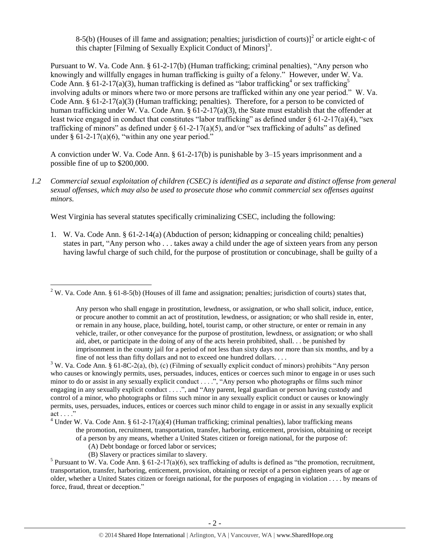<span id="page-1-1"></span><span id="page-1-0"></span>8-5(b) (Houses of ill fame and assignation; penalties; jurisdiction of courts)] $1/2$  or article eight-c of this chapter [Filming of Sexually Explicit Conduct of Minors]<sup>3</sup>.

Pursuant to W. Va. Code Ann. § 61-2-17(b) (Human trafficking; criminal penalties), "Any person who knowingly and willfully engages in human trafficking is guilty of a felony." However, under W. Va. Code Ann. § 61-2-17(a)(3), human trafficking is defined as "labor trafficking<sup>4</sup> or sex trafficking<sup>5</sup> involving adults or minors where two or more persons are trafficked within any one year period." W. Va. Code Ann.  $\S 61-2-17(a)(3)$  (Human trafficking; penalties). Therefore, for a person to be convicted of human trafficking under W. Va. Code Ann. § 61-2-17(a)(3), the State must establish that the offender at least twice engaged in conduct that constitutes "labor trafficking" as defined under  $\S 61-2-17(a)(4)$ , "sex trafficking of minors" as defined under  $\S 61-2-17(a)(5)$ , and/or "sex trafficking of adults" as defined under  $§ 61-2-17(a)(6)$ , "within any one year period."

A conviction under W. Va. Code Ann. § 61-2-17(b) is punishable by 3–15 years imprisonment and a possible fine of up to \$200,000.

<span id="page-1-2"></span>*1.2 Commercial sexual exploitation of children (CSEC) is identified as a separate and distinct offense from general sexual offenses, which may also be used to prosecute those who commit commercial sex offenses against minors.*

West Virginia has several statutes specifically criminalizing CSEC, including the following:

1. W. Va. Code Ann. § 61-2-14(a) (Abduction of person; kidnapping or concealing child; penalties) states in part, "Any person who . . . takes away a child under the age of sixteen years from any person having lawful charge of such child, for the purpose of prostitution or concubinage, shall be guilty of a

- (A) Debt bondage or forced labor or services;
- (B) Slavery or practices similar to slavery.

 $\overline{a}$ 

 $2$  W. Va. Code Ann. § 61-8-5(b) (Houses of ill fame and assignation; penalties; jurisdiction of courts) states that,

Any person who shall engage in prostitution, lewdness, or assignation, or who shall solicit, induce, entice, or procure another to commit an act of prostitution, lewdness, or assignation; or who shall reside in, enter, or remain in any house, place, building, hotel, tourist camp, or other structure, or enter or remain in any vehicle, trailer, or other conveyance for the purpose of prostitution, lewdness, or assignation; or who shall aid, abet, or participate in the doing of any of the acts herein prohibited, shall. . . be punished by imprisonment in the county jail for a period of not less than sixty days nor more than six months, and by a fine of not less than fifty dollars and not to exceed one hundred dollars. . . .

<sup>&</sup>lt;sup>3</sup> W. Va. Code Ann. § 61-8C-2(a), (b), (c) (Filming of sexually explicit conduct of minors) prohibits "Any person who causes or knowingly permits, uses, persuades, induces, entices or coerces such minor to engage in or uses such minor to do or assist in any sexually explicit conduct . . . .", "Any person who photographs or films such minor engaging in any sexually explicit conduct . . . .", and "Any parent, legal guardian or person having custody and control of a minor, who photographs or films such minor in any sexually explicit conduct or causes or knowingly permits, uses, persuades, induces, entices or coerces such minor child to engage in or assist in any sexually explicit act . . . ."

<sup>&</sup>lt;sup>4</sup> Under W. Va. Code Ann. § 61-2-17(a)(4) (Human trafficking; criminal penalties), labor trafficking means the promotion, recruitment, transportation, transfer, harboring, enticement, provision, obtaining or receipt of a person by any means, whether a United States citizen or foreign national, for the purpose of:

<sup>&</sup>lt;sup>5</sup> Pursuant to W. Va. Code Ann. § 61-2-17(a)(6), sex trafficking of adults is defined as "the promotion, recruitment, transportation, transfer, harboring, enticement, provision, obtaining or receipt of a person eighteen years of age or older, whether a United States citizen or foreign national, for the purposes of engaging in violation . . . . by means of force, fraud, threat or deception."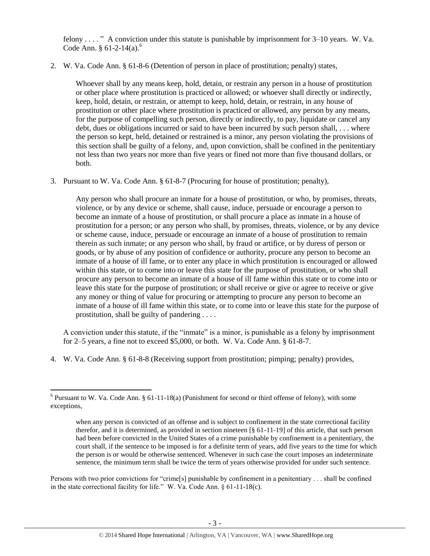felony . . . . " A conviction under this statute is punishable by imprisonment for 3–10 years. W. Va. Code Ann.  $§ 61-2-14(a).$ <sup>6</sup>

2. W. Va. Code Ann. § 61-8-6 (Detention of person in place of prostitution; penalty) states,

Whoever shall by any means keep, hold, detain, or restrain any person in a house of prostitution or other place where prostitution is practiced or allowed; or whoever shall directly or indirectly, keep, hold, detain, or restrain, or attempt to keep, hold, detain, or restrain, in any house of prostitution or other place where prostitution is practiced or allowed, any person by any means, for the purpose of compelling such person, directly or indirectly, to pay, liquidate or cancel any debt, dues or obligations incurred or said to have been incurred by such person shall, . . . where the person so kept, held, detained or restrained is a minor, any person violating the provisions of this section shall be guilty of a felony, and, upon conviction, shall be confined in the penitentiary not less than two years nor more than five years or fined not more than five thousand dollars, or both.

3. Pursuant to W. Va. Code Ann. § 61-8-7 (Procuring for house of prostitution; penalty),

Any person who shall procure an inmate for a house of prostitution, or who, by promises, threats, violence, or by any device or scheme, shall cause, induce, persuade or encourage a person to become an inmate of a house of prostitution, or shall procure a place as inmate in a house of prostitution for a person; or any person who shall, by promises, threats, violence, or by any device or scheme cause, induce, persuade or encourage an inmate of a house of prostitution to remain therein as such inmate; or any person who shall, by fraud or artifice, or by duress of person or goods, or by abuse of any position of confidence or authority, procure any person to become an inmate of a house of ill fame, or to enter any place in which prostitution is encouraged or allowed within this state, or to come into or leave this state for the purpose of prostitution, or who shall procure any person to become an inmate of a house of ill fame within this state or to come into or leave this state for the purpose of prostitution; or shall receive or give or agree to receive or give any money or thing of value for procuring or attempting to procure any person to become an inmate of a house of ill fame within this state, or to come into or leave this state for the purpose of prostitution, shall be guilty of pandering . . . .

A conviction under this statute, if the "inmate" is a minor, is punishable as a felony by imprisonment for 2–5 years, a fine not to exceed \$5,000, or both. W. Va. Code Ann. § 61-8-7.

4. W. Va. Code Ann. § 61-8-8 (Receiving support from prostitution; pimping; penalty) provides,

Persons with two prior convictions for "crime[s] punishable by confinement in a penitentiary . . . shall be confined in the state correctional facility for life." W. Va. Code Ann. § 61-11-18(c).

 $\overline{\phantom{a}}$  $6$  Pursuant to W. Va. Code Ann. § 61-11-18(a) (Punishment for second or third offense of felony), with some exceptions,

when any person is convicted of an offense and is subject to confinement in the state correctional facility therefor, and it is determined, as provided in section nineteen [§ 61-11-19] of this article, that such person had been before convicted in the United States of a crime punishable by confinement in a penitentiary, the court shall, if the sentence to be imposed is for a definite term of years, add five years to the time for which the person is or would be otherwise sentenced. Whenever in such case the court imposes an indeterminate sentence, the minimum term shall be twice the term of years otherwise provided for under such sentence.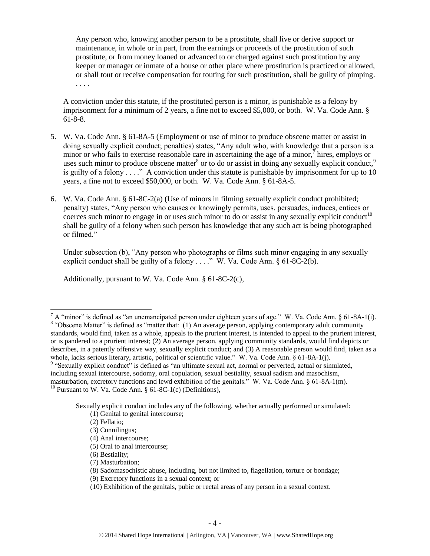Any person who, knowing another person to be a prostitute, shall live or derive support or maintenance, in whole or in part, from the earnings or proceeds of the prostitution of such prostitute, or from money loaned or advanced to or charged against such prostitution by any keeper or manager or inmate of a house or other place where prostitution is practiced or allowed, or shall tout or receive compensation for touting for such prostitution, shall be guilty of pimping. . . . .

<span id="page-3-1"></span><span id="page-3-0"></span>A conviction under this statute, if the prostituted person is a minor, is punishable as a felony by imprisonment for a minimum of 2 years, a fine not to exceed \$5,000, or both. W. Va. Code Ann. § 61-8-8.

- 5. W. Va. Code Ann. § 61-8A-5 (Employment or use of minor to produce obscene matter or assist in doing sexually explicit conduct; penalties) states, "Any adult who, with knowledge that a person is a minor or who fails to exercise reasonable care in ascertaining the age of a minor,  $\bar{j}$  hires, employs or uses such minor to produce obscene matter<sup>8</sup> or to do or assist in doing any sexually explicit conduct,  $9$ is guilty of a felony  $\ldots$ ." A conviction under this statute is punishable by imprisonment for up to 10 years, a fine not to exceed \$50,000, or both. W. Va. Code Ann. § 61-8A-5.
- 6. W. Va. Code Ann. § 61-8C-2(a) (Use of minors in filming sexually explicit conduct prohibited; penalty) states, "Any person who causes or knowingly permits, uses, persuades, induces, entices or coerces such minor to engage in or uses such minor to do or assist in any sexually explicit conduct<sup>10</sup> shall be guilty of a felony when such person has knowledge that any such act is being photographed or filmed."

<span id="page-3-2"></span>Under subsection (b), "Any person who photographs or films such minor engaging in any sexually explicit conduct shall be guilty of a felony  $\dots$ ." W. Va. Code Ann. § 61-8C-2(b).

Additionally, pursuant to W. Va. Code Ann. § 61-8C-2(c),

l

 $^7$  A "minor" is defined as "an unemancipated person under eighteen years of age." W. Va. Code Ann. § 61-8A-1(i). <sup>8</sup> "Obscene Matter" is defined as "matter that: (1) An average person, applying contemporary adult community standards, would find, taken as a whole, appeals to the prurient interest, is intended to appeal to the prurient interest, or is pandered to a prurient interest; (2) An average person, applying community standards, would find depicts or describes, in a patently offensive way, sexually explicit conduct; and (3) A reasonable person would find, taken as a whole, lacks serious literary, artistic, political or scientific value." W. Va. Code Ann. § 61-8A-1(j).

<sup>&</sup>lt;sup>9</sup> "Sexually explicit conduct" is defined as "an ultimate sexual act, normal or perverted, actual or simulated, including sexual intercourse, sodomy, oral copulation, sexual bestiality, sexual sadism and masochism, masturbation, excretory functions and lewd exhibition of the genitals." W. Va. Code Ann. § 61-8A-1(m).  $10$  Pursuant to W. Va. Code Ann. § 61-8C-1(c) (Definitions),

Sexually explicit conduct includes any of the following, whether actually performed or simulated: (1) Genital to genital intercourse;

<sup>(2)</sup> Fellatio;

<sup>(3)</sup> Cunnilingus;

<sup>(4)</sup> Anal intercourse;

<sup>(5)</sup> Oral to anal intercourse;

<sup>(6)</sup> Bestiality;

<sup>(7)</sup> Masturbation;

<sup>(8)</sup> Sadomasochistic abuse, including, but not limited to, flagellation, torture or bondage;

<sup>(9)</sup> Excretory functions in a sexual context; or

<sup>(10)</sup> Exhibition of the genitals, pubic or rectal areas of any person in a sexual context.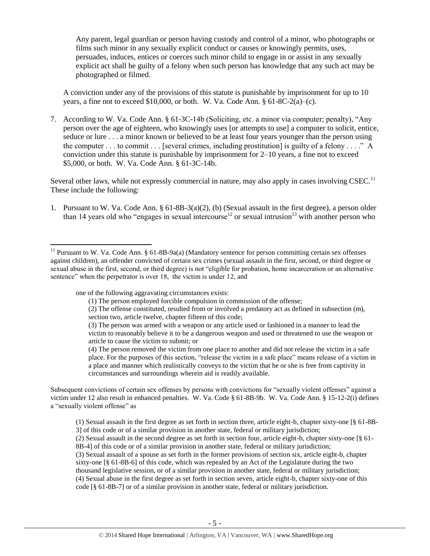Any parent, legal guardian or person having custody and control of a minor, who photographs or films such minor in any sexually explicit conduct or causes or knowingly permits, uses, persuades, induces, entices or coerces such minor child to engage in or assist in any sexually explicit act shall be guilty of a felony when such person has knowledge that any such act may be photographed or filmed.

A conviction under any of the provisions of this statute is punishable by imprisonment for up to 10 years, a fine not to exceed \$10,000, or both. W. Va. Code Ann.  $§ 61-8C-2(a)-(c)$ .

7. According to W. Va. Code Ann. § 61-3C-14b (Soliciting, etc. a minor via computer; penalty), "Any person over the age of eighteen, who knowingly uses [or attempts to use] a computer to solicit, entice, seduce or lure . . . a minor known or believed to be at least four years younger than the person using the computer . . . to commit . . . [several crimes, including prostitution] is guilty of a felony . . . ." A conviction under this statute is punishable by imprisonment for 2–10 years, a fine not to exceed \$5,000, or both. W. Va. Code Ann. § 61-3C-14b.

Several other laws, while not expressly commercial in nature, may also apply in cases involving  $CSEC.$ <sup>11</sup> These include the following:

1. Pursuant to W. Va. Code Ann. § 61-8B-3(a)(2), (b) (Sexual assault in the first degree), a person older than 14 years old who "engages in sexual intercourse<sup>12</sup> or sexual intrusion<sup>13</sup> with another person who

one of the following aggravating circumstances exists:

 $\overline{\phantom{a}}$ 

Subsequent convictions of certain sex offenses by persons with convictions for "sexually violent offenses" against a victim under 12 also result in enhanced penalties. W. Va. Code § 61-8B-9b. W. Va. Code Ann. § 15-12-2(i) defines a "sexually violent offense" as

(3) Sexual assault of a spouse as set forth in the former provisions of section six, article eight-b, chapter sixty-one [§ 61-8B-6] of this code, which was repealed by an Act of the Legislature during the two thousand legislative session, or of a similar provision in another state, federal or military jurisdiction; (4) Sexual abuse in the first degree as set forth in section seven, article eight-b, chapter sixty-one of this code [§ 61-8B-7] or of a similar provision in another state, federal or military jurisdiction.

<sup>&</sup>lt;sup>11</sup> Pursuant to W. Va. Code Ann. § 61-8B-9a(a) (Mandatory sentence for person committing certain sex offenses against children), an offender convicted of certain sex crimes (sexual assault in the first, second, or third degree or sexual abuse in the first, second, or third degree) is not "eligible for probation, home incarceration or an alternative sentence" when the perpetrator is over 18, the victim is under 12, and

<sup>(1)</sup> The person employed forcible compulsion in commission of the offense;

<sup>(2)</sup> The offense constituted, resulted from or involved a predatory act as defined in subsection (m), section two, article twelve, chapter fifteen of this code;

<sup>(3)</sup> The person was armed with a weapon or any article used or fashioned in a manner to lead the victim to reasonably believe it to be a dangerous weapon and used or threatened to use the weapon or article to cause the victim to submit; or

<sup>(4)</sup> The person removed the victim from one place to another and did not release the victim in a safe place. For the purposes of this section, "release the victim in a safe place" means release of a victim in a place and manner which realistically conveys to the victim that he or she is free from captivity in circumstances and surroundings wherein aid is readily available.

<sup>(1)</sup> Sexual assault in the first degree as set forth in section three, article eight-b, chapter sixty-one [§ 61-8B-3] of this code or of a similar provision in another state, federal or military jurisdiction;

<sup>(2)</sup> Sexual assault in the second degree as set forth in section four, article eight-b, chapter sixty-one [§ 61- 8B-4] of this code or of a similar provision in another state, federal or military jurisdiction;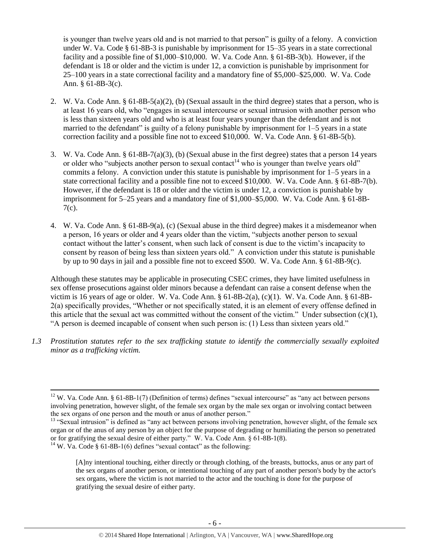is younger than twelve years old and is not married to that person" is guilty of a felony. A conviction under W. Va. Code § 61-8B-3 is punishable by imprisonment for 15–35 years in a state correctional facility and a possible fine of \$1,000–\$10,000. W. Va. Code Ann. § 61-8B-3(b). However, if the defendant is 18 or older and the victim is under 12, a conviction is punishable by imprisonment for 25–100 years in a state correctional facility and a mandatory fine of \$5,000–\$25,000. W. Va. Code Ann. § 61-8B-3(c).

- 2. W. Va. Code Ann. § 61-8B-5(a)(2), (b) (Sexual assault in the third degree) states that a person, who is at least 16 years old, who "engages in sexual intercourse or sexual intrusion with another person who is less than sixteen years old and who is at least four years younger than the defendant and is not married to the defendant" is guilty of a felony punishable by imprisonment for 1–5 years in a state correction facility and a possible fine not to exceed \$10,000. W. Va. Code Ann. § 61-8B-5(b).
- 3. W. Va. Code Ann. § 61-8B-7(a)(3), (b) (Sexual abuse in the first degree) states that a person 14 years or older who "subjects another person to sexual contact<sup>14</sup> who is younger than twelve years old" commits a felony. A conviction under this statute is punishable by imprisonment for  $1-5$  years in a state correctional facility and a possible fine not to exceed \$10,000. W. Va. Code Ann. § 61-8B-7(b). However, if the defendant is 18 or older and the victim is under 12, a conviction is punishable by imprisonment for 5–25 years and a mandatory fine of \$1,000–\$5,000. W. Va. Code Ann. § 61-8B-7(c).
- 4. W. Va. Code Ann. § 61-8B-9(a), (c) (Sexual abuse in the third degree) makes it a misdemeanor when a person, 16 years or older and 4 years older than the victim, "subjects another person to sexual contact without the latter's consent, when such lack of consent is due to the victim's incapacity to consent by reason of being less than sixteen years old." A conviction under this statute is punishable by up to 90 days in jail and a possible fine not to exceed \$500. W. Va. Code Ann. § 61-8B-9(c).

Although these statutes may be applicable in prosecuting CSEC crimes, they have limited usefulness in sex offense prosecutions against older minors because a defendant can raise a consent defense when the victim is 16 years of age or older. W. Va. Code Ann. § 61-8B-2(a), (c)(1). W. Va. Code Ann. § 61-8B-2(a) specifically provides, "Whether or not specifically stated, it is an element of every offense defined in this article that the sexual act was committed without the consent of the victim." Under subsection  $(c)(1)$ , "A person is deemed incapable of consent when such person is: (1) Less than sixteen years old."

*1.3 Prostitution statutes refer to the sex trafficking statute to identify the commercially sexually exploited minor as a trafficking victim.* 

<sup>&</sup>lt;sup>12</sup> W. Va. Code Ann. § 61-8B-1(7) (Definition of terms) defines "sexual intercourse" as "any act between persons involving penetration, however slight, of the female sex organ by the male sex organ or involving contact between the sex organs of one person and the mouth or anus of another person."

 $13$  "Sexual intrusion" is defined as "any act between persons involving penetration, however slight, of the female sex organ or of the anus of any person by an object for the purpose of degrading or humiliating the person so penetrated or for gratifying the sexual desire of either party." W. Va. Code Ann. § 61-8B-1(8). <sup>14</sup> W. Va. Code § 61-8B-1(6) defines "sexual contact" as the following:

<sup>[</sup>A]ny intentional touching, either directly or through clothing, of the breasts, buttocks, anus or any part of the sex organs of another person, or intentional touching of any part of another person's body by the actor's sex organs, where the victim is not married to the actor and the touching is done for the purpose of gratifying the sexual desire of either party.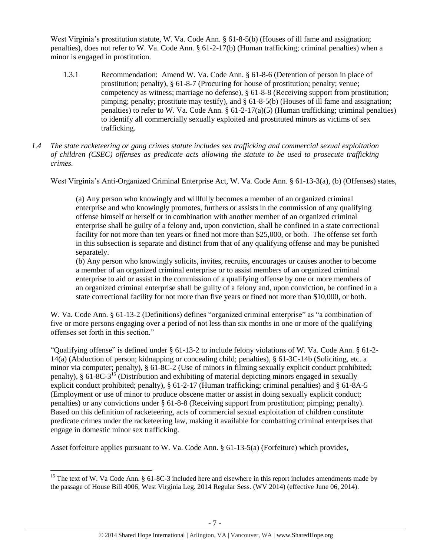West Virginia's prostitution statute, W. Va. Code Ann. § 61-8-5(b) (Houses of ill fame and assignation; penalties), does not refer to W. Va. Code Ann. § 61-2-17(b) (Human trafficking; criminal penalties) when a minor is engaged in prostitution.

- 1.3.1 Recommendation: Amend W. Va. Code Ann. § 61-8-6 (Detention of person in place of prostitution; penalty), § 61-8-7 (Procuring for house of prostitution; penalty; venue; competency as witness; marriage no defense), § 61-8-8 (Receiving support from prostitution; pimping; penalty; prostitute may testify), and § 61-8-5(b) (Houses of ill fame and assignation; penalties) to refer to W. Va. Code Ann. §  $61-2-17(a)(5)$  (Human trafficking; criminal penalties) to identify all commercially sexually exploited and prostituted minors as victims of sex trafficking.
- *1.4 The state racketeering or gang crimes statute includes sex trafficking and commercial sexual exploitation of children (CSEC) offenses as predicate acts allowing the statute to be used to prosecute trafficking crimes.*

West Virginia's Anti-Organized Criminal Enterprise Act, W. Va. Code Ann. § 61-13-3(a), (b) (Offenses) states,

(a) Any person who knowingly and willfully becomes a member of an organized criminal enterprise and who knowingly promotes, furthers or assists in the commission of any qualifying offense himself or herself or in combination with another member of an organized criminal enterprise shall be guilty of a felony and, upon conviction, shall be confined in a state correctional facility for not more than ten years or fined not more than \$25,000, or both. The offense set forth in this subsection is separate and distinct from that of any qualifying offense and may be punished separately.

(b) Any person who knowingly solicits, invites, recruits, encourages or causes another to become a member of an organized criminal enterprise or to assist members of an organized criminal enterprise to aid or assist in the commission of a qualifying offense by one or more members of an organized criminal enterprise shall be guilty of a felony and, upon conviction, be confined in a state correctional facility for not more than five years or fined not more than \$10,000, or both.

W. Va. Code Ann. § 61-13-2 (Definitions) defines "organized criminal enterprise" as "a combination of five or more persons engaging over a period of not less than six months in one or more of the qualifying offenses set forth in this section."

<span id="page-6-0"></span>"Qualifying offense" is defined under § 61-13-2 to include felony violations of W. Va. Code Ann. § 61-2- 14(a) (Abduction of person; kidnapping or concealing child; penalties), § 61-3C-14b (Soliciting, etc. a minor via computer; penalty), § 61-8C-2 (Use of minors in filming sexually explicit conduct prohibited; penalty), § 61-8C-3<sup>15</sup> (Distribution and exhibiting of material depicting minors engaged in sexually explicit conduct prohibited; penalty), § 61-2-17 (Human trafficking; criminal penalties) and § 61-8A-5 (Employment or use of minor to produce obscene matter or assist in doing sexually explicit conduct; penalties) or any convictions under § 61-8-8 (Receiving support from prostitution; pimping; penalty). Based on this definition of racketeering, acts of commercial sexual exploitation of children constitute predicate crimes under the racketeering law, making it available for combatting criminal enterprises that engage in domestic minor sex trafficking.

Asset forfeiture applies pursuant to W. Va. Code Ann. § 61-13-5(a) (Forfeiture) which provides,

 $\overline{\phantom{a}}$ <sup>15</sup> The text of W. Va Code Ann. § 61-8C-3 included here and elsewhere in this report includes amendments made by the passage of House Bill 4006, West Virginia Leg. 2014 Regular Sess. (WV 2014) (effective June 06, 2014).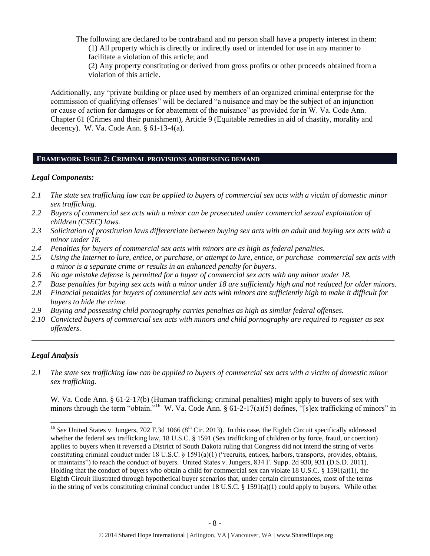The following are declared to be contraband and no person shall have a property interest in them: (1) All property which is directly or indirectly used or intended for use in any manner to facilitate a violation of this article; and

(2) Any property constituting or derived from gross profits or other proceeds obtained from a violation of this article.

Additionally, any "private building or place used by members of an organized criminal enterprise for the commission of qualifying offenses" will be declared "a nuisance and may be the subject of an injunction or cause of action for damages or for abatement of the nuisance" as provided for in W. Va. Code Ann. Chapter 61 (Crimes and their punishment), Article 9 (Equitable remedies in aid of chastity, morality and decency). W. Va. Code Ann. § 61-13-4(a).

## **FRAMEWORK ISSUE 2: CRIMINAL PROVISIONS ADDRESSING DEMAND**

#### *Legal Components:*

- *2.1 The state sex trafficking law can be applied to buyers of commercial sex acts with a victim of domestic minor sex trafficking.*
- *2.2 Buyers of commercial sex acts with a minor can be prosecuted under commercial sexual exploitation of children (CSEC) laws.*
- *2.3 Solicitation of prostitution laws differentiate between buying sex acts with an adult and buying sex acts with a minor under 18.*
- *2.4 Penalties for buyers of commercial sex acts with minors are as high as federal penalties.*
- *2.5 Using the Internet to lure, entice, or purchase, or attempt to lure, entice, or purchase commercial sex acts with a minor is a separate crime or results in an enhanced penalty for buyers.*
- *2.6 No age mistake defense is permitted for a buyer of commercial sex acts with any minor under 18.*
- *2.7 Base penalties for buying sex acts with a minor under 18 are sufficiently high and not reduced for older minors.*
- *2.8 Financial penalties for buyers of commercial sex acts with minors are sufficiently high to make it difficult for buyers to hide the crime.*
- *2.9 Buying and possessing child pornography carries penalties as high as similar federal offenses.*
- *2.10 Convicted buyers of commercial sex acts with minors and child pornography are required to register as sex offenders.*

\_\_\_\_\_\_\_\_\_\_\_\_\_\_\_\_\_\_\_\_\_\_\_\_\_\_\_\_\_\_\_\_\_\_\_\_\_\_\_\_\_\_\_\_\_\_\_\_\_\_\_\_\_\_\_\_\_\_\_\_\_\_\_\_\_\_\_\_\_\_\_\_\_\_\_\_\_\_\_\_\_\_\_\_\_\_\_\_\_\_\_\_\_\_

# *Legal Analysis*

 $\overline{\phantom{a}}$ 

*2.1 The state sex trafficking law can be applied to buyers of commercial sex acts with a victim of domestic minor sex trafficking.*

W. Va. Code Ann. § 61-2-17(b) (Human trafficking; criminal penalties) might apply to buyers of sex with minors through the term "obtain."<sup>16</sup> W. Va. Code Ann. § 61-2-17(a)(5) defines, "[s]ex trafficking of minors" in

<sup>&</sup>lt;sup>16</sup> See United States v. Jungers, 702 F.3d 1066 ( $8<sup>th</sup>$  Cir. 2013). In this case, the Eighth Circuit specifically addressed whether the federal sex trafficking law, 18 U.S.C. § 1591 (Sex trafficking of children or by force, fraud, or coercion) applies to buyers when it reversed a District of South Dakota ruling that Congress did not intend the string of verbs constituting criminal conduct under 18 U.S.C. § 1591(a)(1) ("recruits, entices, harbors, transports, provides, obtains, or maintains") to reach the conduct of buyers. United States v. Jungers, 834 F. Supp. 2d 930, 931 (D.S.D. 2011). Holding that the conduct of buyers who obtain a child for commercial sex can violate 18 U.S.C. § 1591(a)(1), the Eighth Circuit illustrated through hypothetical buyer scenarios that, under certain circumstances, most of the terms in the string of verbs constituting criminal conduct under 18 U.S.C. § 1591(a)(1) could apply to buyers. While other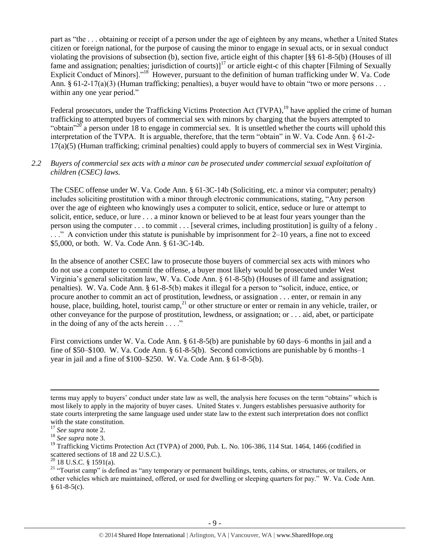part as "the . . . obtaining or receipt of a person under the age of eighteen by any means, whether a United States citizen or foreign national, for the purpose of causing the minor to engage in sexual acts, or in sexual conduct violating the provisions of subsection (b), section five, article eight of this chapter [§§ 61-8-5(b) (Houses of ill fame and assignation; penalties; jurisdiction of courts)] $17$  or article eight-c of this chapter [Filming of Sexually Explicit Conduct of Minors]."<sup>18</sup> However, pursuant to the definition of human trafficking under W. Va. Code Ann. § 61-2-17(a)(3) (Human trafficking; penalties), a buyer would have to obtain "two or more persons . . . within any one year period."

Federal prosecutors, under the Trafficking Victims Protection Act (TVPA),<sup>19</sup> have applied the crime of human trafficking to attempted buyers of commercial sex with minors by charging that the buyers attempted to "obtain"<sup>20</sup> a person under 18 to engage in commercial sex. It is unsettled whether the courts will uphold this interpretation of the TVPA. It is arguable, therefore, that the term "obtain" in W. Va. Code Ann. § 61-2- 17(a)(5) (Human trafficking; criminal penalties) could apply to buyers of commercial sex in West Virginia.

## *2.2 Buyers of commercial sex acts with a minor can be prosecuted under commercial sexual exploitation of children (CSEC) laws.*

The CSEC offense under W. Va. Code Ann. § 61-3C-14b (Soliciting, etc. a minor via computer; penalty) includes soliciting prostitution with a minor through electronic communications, stating, "Any person over the age of eighteen who knowingly uses a computer to solicit, entice, seduce or lure or attempt to solicit, entice, seduce, or lure . . . a minor known or believed to be at least four years younger than the person using the computer . . . to commit . . . [several crimes, including prostitution] is guilty of a felony . . . ." A conviction under this statute is punishable by imprisonment for 2–10 years, a fine not to exceed \$5,000, or both. W. Va. Code Ann. § 61-3C-14b.

In the absence of another CSEC law to prosecute those buyers of commercial sex acts with minors who do not use a computer to commit the offense, a buyer most likely would be prosecuted under West Virginia's general solicitation law, W. Va. Code Ann. § 61-8-5(b) (Houses of ill fame and assignation; penalties). W. Va. Code Ann. § 61-8-5(b) makes it illegal for a person to "solicit, induce, entice, or procure another to commit an act of prostitution, lewdness, or assignation . . . enter, or remain in any house, place, building, hotel, tourist camp,  $^{21}$  or other structure or enter or remain in any vehicle, trailer, or other conveyance for the purpose of prostitution, lewdness, or assignation; or . . . aid, abet, or participate in the doing of any of the acts herein  $\dots$ ."

First convictions under W. Va. Code Ann. § 61-8-5(b) are punishable by 60 days–6 months in jail and a fine of \$50–\$100. W. Va. Code Ann. § 61-8-5(b). Second convictions are punishable by 6 months–1 year in jail and a fine of \$100–\$250. W. Va. Code Ann. § 61-8-5(b).

terms may apply to buyers' conduct under state law as well, the analysis here focuses on the term "obtains" which is most likely to apply in the majority of buyer cases. United States v. Jungers establishes persuasive authority for state courts interpreting the same language used under state law to the extent such interpretation does not conflict with the state constitution.

<sup>17</sup> *See supra* note [2.](#page-1-0)

<sup>18</sup> *See supra* note [3.](#page-1-1)

<sup>&</sup>lt;sup>19</sup> Trafficking Victims Protection Act (TVPA) of 2000, Pub. L. No. 106-386, 114 Stat. 1464, 1466 (codified in scattered sections of 18 and 22 U.S.C.).

 $20$  18 U.S.C. § 1591(a).

<sup>&</sup>lt;sup>21</sup> "Tourist camp" is defined as "any temporary or permanent buildings, tents, cabins, or structures, or trailers, or other vehicles which are maintained, offered, or used for dwelling or sleeping quarters for pay." W. Va. Code Ann.  $§ 61-8-5(c).$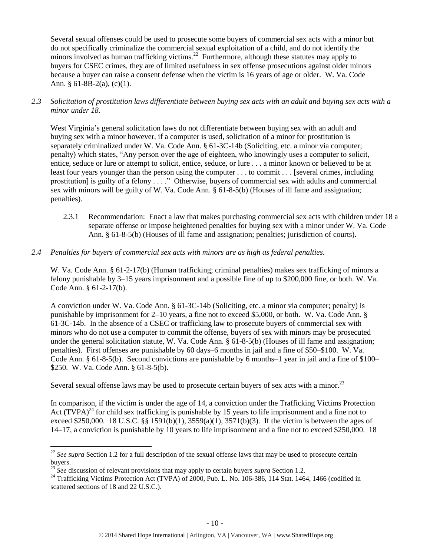Several sexual offenses could be used to prosecute some buyers of commercial sex acts with a minor but do not specifically criminalize the commercial sexual exploitation of a child, and do not identify the minors involved as human trafficking victims.<sup>22</sup> Furthermore, although these statutes may apply to buyers for CSEC crimes, they are of limited usefulness in sex offense prosecutions against older minors because a buyer can raise a consent defense when the victim is 16 years of age or older. W. Va. Code Ann. § 61-8B-2(a),  $(c)(1)$ .

*2.3 Solicitation of prostitution laws differentiate between buying sex acts with an adult and buying sex acts with a minor under 18.*

West Virginia's general solicitation laws do not differentiate between buying sex with an adult and buying sex with a minor however, if a computer is used, solicitation of a minor for prostitution is separately criminalized under W. Va. Code Ann. § 61-3C-14b (Soliciting, etc. a minor via computer; penalty) which states, "Any person over the age of eighteen, who knowingly uses a computer to solicit, entice, seduce or lure or attempt to solicit, entice, seduce, or lure . . . a minor known or believed to be at least four years younger than the person using the computer . . . to commit . . . [several crimes, including prostitution] is guilty of a felony . . . ." Otherwise, buyers of commercial sex with adults and commercial sex with minors will be guilty of W. Va. Code Ann. § 61-8-5(b) (Houses of ill fame and assignation; penalties).

- 2.3.1 Recommendation: Enact a law that makes purchasing commercial sex acts with children under 18 a separate offense or impose heightened penalties for buying sex with a minor under W. Va. Code Ann. § 61-8-5(b) (Houses of ill fame and assignation; penalties; jurisdiction of courts).
- *2.4 Penalties for buyers of commercial sex acts with minors are as high as federal penalties.*

W. Va. Code Ann. § 61-2-17(b) (Human trafficking; criminal penalties) makes sex trafficking of minors a felony punishable by 3–15 years imprisonment and a possible fine of up to \$200,000 fine, or both. W. Va. Code Ann. § 61-2-17(b).

A conviction under W. Va. Code Ann. § 61-3C-14b (Soliciting, etc. a minor via computer; penalty) is punishable by imprisonment for 2–10 years, a fine not to exceed \$5,000, or both. W. Va. Code Ann. § 61-3C-14b. In the absence of a CSEC or trafficking law to prosecute buyers of commercial sex with minors who do not use a computer to commit the offense, buyers of sex with minors may be prosecuted under the general solicitation statute, W. Va. Code Ann. § 61-8-5(b) (Houses of ill fame and assignation; penalties). First offenses are punishable by 60 days–6 months in jail and a fine of \$50–\$100. W. Va. Code Ann. § 61-8-5(b). Second convictions are punishable by 6 months–1 year in jail and a fine of \$100– \$250. W. Va. Code Ann. § 61-8-5(b).

Several sexual offense laws may be used to prosecute certain buyers of sex acts with a minor.<sup>23</sup>

<span id="page-9-0"></span>In comparison, if the victim is under the age of 14, a conviction under the Trafficking Victims Protection Act  $(TVPA)^{24}$  for child sex trafficking is punishable by 15 years to life imprisonment and a fine not to exceed \$250,000. 18 U.S.C. §§ 1591(b)(1), 3559(a)(1), 3571(b)(3). If the victim is between the ages of 14–17, a conviction is punishable by 10 years to life imprisonment and a fine not to exceed \$250,000. 18

 $22$  *See supra* Section [1.2](#page-1-2) for a full description of the sexual offense laws that may be used to prosecute certain buyers.

<sup>&</sup>lt;sup>23</sup> See discussion of relevant provisions that may apply to certain buyers *supra* Section [1.2.](#page-1-2)

<sup>&</sup>lt;sup>24</sup> Trafficking Victims Protection Act (TVPA) of 2000, Pub. L. No. 106-386, 114 Stat. 1464, 1466 (codified in scattered sections of 18 and 22 U.S.C.).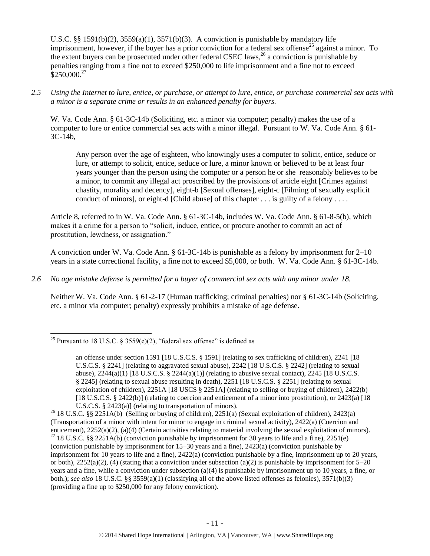U.S.C. §§ 1591(b)(2), 3559(a)(1), 3571(b)(3). A conviction is punishable by mandatory life imprisonment, however, if the buyer has a prior conviction for a federal sex offense<sup>25</sup> against a minor. To the extent buyers can be prosecuted under other federal CSEC laws,<sup>26</sup> a conviction is punishable by penalties ranging from a fine not to exceed \$250,000 to life imprisonment and a fine not to exceed  $$250,000.<sup>27</sup>$ 

#### *2.5 Using the Internet to lure, entice, or purchase, or attempt to lure, entice, or purchase commercial sex acts with a minor is a separate crime or results in an enhanced penalty for buyers.*

W. Va. Code Ann. § 61-3C-14b (Soliciting, etc. a minor via computer; penalty) makes the use of a computer to lure or entice commercial sex acts with a minor illegal. Pursuant to W. Va. Code Ann. § 61- 3C-14b,

<span id="page-10-0"></span>Any person over the age of eighteen, who knowingly uses a computer to solicit, entice, seduce or lure, or attempt to solicit, entice, seduce or lure, a minor known or believed to be at least four years younger than the person using the computer or a person he or she reasonably believes to be a minor, to commit any illegal act proscribed by the provisions of article eight [Crimes against chastity, morality and decency], eight-b [Sexual offenses], eight-c [Filming of sexually explicit conduct of minors], or eight-d [Child abuse] of this chapter . . . is guilty of a felony . . . .

Article 8, referred to in W. Va. Code Ann. § 61-3C-14b, includes W. Va. Code Ann. § 61-8-5(b), which makes it a crime for a person to "solicit, induce, entice, or procure another to commit an act of prostitution, lewdness, or assignation."

A conviction under W. Va. Code Ann. § 61-3C-14b is punishable as a felony by imprisonment for 2–10 years in a state correctional facility, a fine not to exceed \$5,000, or both. W. Va. Code Ann. § 61-3C-14b.

### *2.6 No age mistake defense is permitted for a buyer of commercial sex acts with any minor under 18.*

Neither W. Va. Code Ann. § 61-2-17 (Human trafficking; criminal penalties) nor § 61-3C-14b (Soliciting, etc. a minor via computer; penalty) expressly prohibits a mistake of age defense.

 $\overline{a}$ <sup>25</sup> Pursuant to 18 U.S.C. § 3559 $(e)(2)$ , "federal sex offense" is defined as

an offense under section 1591 [18 U.S.C.S. § 1591] (relating to sex trafficking of children), 2241 [18 U.S.C.S. § 2241] (relating to aggravated sexual abuse), 2242 [18 U.S.C.S. § 2242] (relating to sexual abuse),  $2244(a)(1)$  [18 U.S.C.S. §  $2244(a)(1)$ ] (relating to abusive sexual contact),  $2245$  [18 U.S.C.S. § 2245] (relating to sexual abuse resulting in death), 2251 [18 U.S.C.S. § 2251] (relating to sexual exploitation of children), 2251A [18 USCS § 2251A] (relating to selling or buying of children), 2422(b) [18 U.S.C.S. § 2422(b)] (relating to coercion and enticement of a minor into prostitution), or 2423(a) [18 U.S.C.S. § 2423(a)] (relating to transportation of minors).

<sup>26</sup> 18 U.S.C. §§ 2251A(b) (Selling or buying of children), 2251(a) (Sexual exploitation of children), 2423(a) (Transportation of a minor with intent for minor to engage in criminal sexual activity), 2422(a) (Coercion and enticement), 2252(a)(2), (a)(4) (Certain activities relating to material involving the sexual exploitation of minors). <sup>27</sup> 18 U.S.C. §§ 2251A(b) (conviction punishable by imprisonment for 30 years to life and a fine), 2251(e) (conviction punishable by imprisonment for 15–30 years and a fine), 2423(a) (conviction punishable by imprisonment for 10 years to life and a fine), 2422(a) (conviction punishable by a fine, imprisonment up to 20 years, or both),  $2252(a)(2)$ , (4) (stating that a conviction under subsection (a)(2) is punishable by imprisonment for  $5-20$ years and a fine, while a conviction under subsection (a)(4) is punishable by imprisonment up to 10 years, a fine, or both.); *see also* 18 U.S.C. §§ 3559(a)(1) (classifying all of the above listed offenses as felonies), 3571(b)(3) (providing a fine up to \$250,000 for any felony conviction).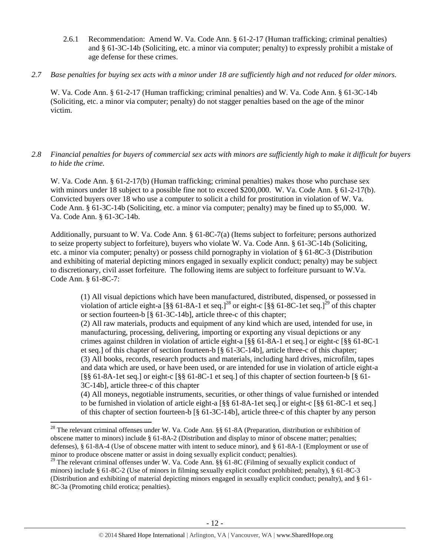- 2.6.1 Recommendation: Amend W. Va. Code Ann. § 61-2-17 (Human trafficking; criminal penalties) and § 61-3C-14b (Soliciting, etc. a minor via computer; penalty) to expressly prohibit a mistake of age defense for these crimes.
- *2.7 Base penalties for buying sex acts with a minor under 18 are sufficiently high and not reduced for older minors.*

W. Va. Code Ann. § 61-2-17 (Human trafficking; criminal penalties) and W. Va. Code Ann. § 61-3C-14b (Soliciting, etc. a minor via computer; penalty) do not stagger penalties based on the age of the minor victim.

## *2.8 Financial penalties for buyers of commercial sex acts with minors are sufficiently high to make it difficult for buyers to hide the crime.*

W. Va. Code Ann. § 61-2-17(b) (Human trafficking; criminal penalties) makes those who purchase sex with minors under 18 subject to a possible fine not to exceed \$200,000. W. Va. Code Ann. § 61-2-17(b). Convicted buyers over 18 who use a computer to solicit a child for prostitution in violation of W. Va. Code Ann. § 61-3C-14b (Soliciting, etc. a minor via computer; penalty) may be fined up to \$5,000. W. Va. Code Ann. § 61-3C-14b.

Additionally, pursuant to W. Va. Code Ann. § 61-8C-7(a) (Items subject to forfeiture; persons authorized to seize property subject to forfeiture), buyers who violate W. Va. Code Ann. § 61-3C-14b (Soliciting, etc. a minor via computer; penalty) or possess child pornography in violation of § 61-8C-3 (Distribution and exhibiting of material depicting minors engaged in sexually explicit conduct; penalty) may be subject to discretionary, civil asset forfeiture. The following items are subject to forfeiture pursuant to W.Va. Code Ann. § 61-8C-7:

<span id="page-11-1"></span><span id="page-11-0"></span>(1) All visual depictions which have been manufactured, distributed, dispensed, or possessed in violation of article eight-a  $\lceil \frac{8}{5} \rceil$  61-8A-1 et seq.]<sup>28</sup> or eight-c  $\lceil \frac{8}{5} \rceil$  61-8C-1 et seq.]<sup>29</sup> of this chapter or section fourteen-b [§ 61-3C-14b], article three-c of this chapter;

(2) All raw materials, products and equipment of any kind which are used, intended for use, in manufacturing, processing, delivering, importing or exporting any visual depictions or any crimes against children in violation of article eight-a [§§ 61-8A-1 et seq.] or eight-c [§§ 61-8C-1 et seq.] of this chapter of section fourteen-b [§ 61-3C-14b], article three-c of this chapter; (3) All books, records, research products and materials, including hard drives, microfilm, tapes and data which are used, or have been used, or are intended for use in violation of article eight-a [§§ 61-8A-1et seq.] or eight-c [§§ 61-8C-1 et seq.] of this chapter of section fourteen-b [§ 61- 3C-14b], article three-c of this chapter

(4) All moneys, negotiable instruments, securities, or other things of value furnished or intended to be furnished in violation of article eight-a [§§ 61-8A-1et seq.] or eight-c [§§ 61-8C-1 et seq.] of this chapter of section fourteen-b [§ 61-3C-14b], article three-c of this chapter by any person

<sup>&</sup>lt;sup>28</sup> The relevant criminal offenses under W. Va. Code Ann. §§ 61-8A (Preparation, distribution or exhibition of obscene matter to minors) include § 61-8A-2 (Distribution and display to minor of obscene matter; penalties; defenses), § 61-8A-4 (Use of obscene matter with intent to seduce minor), and § 61-8A-1 (Employment or use of minor to produce obscene matter or assist in doing sexually explicit conduct; penalties).

<sup>&</sup>lt;sup>29</sup> The relevant criminal offenses under W. Va. Code Ann.  $\S$  61-8C (Filming of sexually explicit conduct of minors) include § 61-8C-2 (Use of minors in filming sexually explicit conduct prohibited; penalty), § 61-8C-3 (Distribution and exhibiting of material depicting minors engaged in sexually explicit conduct; penalty), and § 61- 8C-3a (Promoting child erotica; penalties).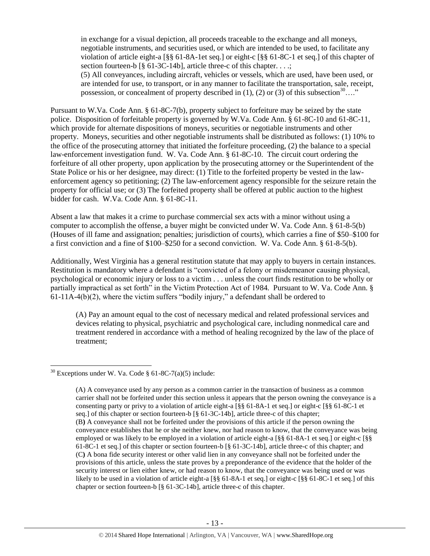in exchange for a visual depiction, all proceeds traceable to the exchange and all moneys, negotiable instruments, and securities used, or which are intended to be used, to facilitate any violation of article eight-a [§§ 61-8A-1et seq.] or eight-c [§§ 61-8C-1 et seq.] of this chapter of section fourteen-b [§ 61-3C-14b], article three-c of this chapter. . . .;

<span id="page-12-0"></span>(5) All conveyances, including aircraft, vehicles or vessels, which are used, have been used, or are intended for use, to transport, or in any manner to facilitate the transportation, sale, receipt, possession, or concealment of property described in (1), (2) or (3) of this subsection<sup>30</sup>…."

Pursuant to W.Va. Code Ann. § 61-8C-7(b), property subject to forfeiture may be seized by the state police. Disposition of forfeitable property is governed by W.Va. Code Ann. § 61-8C-10 and 61-8C-11, which provide for alternate dispositions of moneys, securities or negotiable instruments and other property. Moneys, securities and other negotiable instruments shall be distributed as follows: (1) 10% to the office of the prosecuting attorney that initiated the forfeiture proceeding, (2) the balance to a special law-enforcement investigation fund. W. Va. Code Ann. § 61-8C-10. The circuit court ordering the forfeiture of all other property, upon application by the prosecuting attorney or the Superintendent of the State Police or his or her designee, may direct: (1) Title to the forfeited property be vested in the lawenforcement agency so petitioning; (2) The law-enforcement agency responsible for the seizure retain the property for official use; or (3) The forfeited property shall be offered at public auction to the highest bidder for cash. W.Va. Code Ann. § 61-8C-11.

Absent a law that makes it a crime to purchase commercial sex acts with a minor without using a computer to accomplish the offense, a buyer might be convicted under W. Va. Code Ann. § 61-8-5(b) (Houses of ill fame and assignation; penalties; jurisdiction of courts), which carries a fine of \$50–\$100 for a first conviction and a fine of \$100–\$250 for a second conviction. W. Va. Code Ann. § 61-8-5(b).

Additionally, West Virginia has a general restitution statute that may apply to buyers in certain instances. Restitution is mandatory where a defendant is "convicted of a felony or misdemeanor causing physical, psychological or economic injury or loss to a victim . . . unless the court finds restitution to be wholly or partially impractical as set forth" in the Victim Protection Act of 1984. Pursuant to W. Va. Code Ann. §  $61-11A-4(b)(2)$ , where the victim suffers "bodily injury," a defendant shall be ordered to

(A) Pay an amount equal to the cost of necessary medical and related professional services and devices relating to physical, psychiatric and psychological care, including nonmedical care and treatment rendered in accordance with a method of healing recognized by the law of the place of treatment;

 $30$  Exceptions under W. Va. Code § 61-8C-7(a)(5) include:

<sup>(</sup>A) A conveyance used by any person as a common carrier in the transaction of business as a common carrier shall not be forfeited under this section unless it appears that the person owning the conveyance is a consenting party or privy to a violation of article eight-a [§§ 61-8A-1 et seq.] or eight-c [§§ 61-8C-1 et seq.] of this chapter or section fourteen-b [§ 61-3C-14b], article three-c of this chapter; (B**)** A conveyance shall not be forfeited under the provisions of this article if the person owning the conveyance establishes that he or she neither knew, nor had reason to know, that the conveyance was being employed or was likely to be employed in a violation of article eight-a [§§ 61-8A-1 et seq.] or eight-c [§§ 61-8C-1 et seq.] of this chapter or section fourteen-b [§ 61-3C-14b], article three-c of this chapter; and (C**)** A bona fide security interest or other valid lien in any conveyance shall not be forfeited under the provisions of this article, unless the state proves by a preponderance of the evidence that the holder of the security interest or lien either knew, or had reason to know, that the conveyance was being used or was likely to be used in a violation of article eight-a [§§ 61-8A-1 et seq.] or eight-c [§§ 61-8C-1 et seq.] of this chapter or section fourteen-b [§ 61-3C-14b], article three-c of this chapter.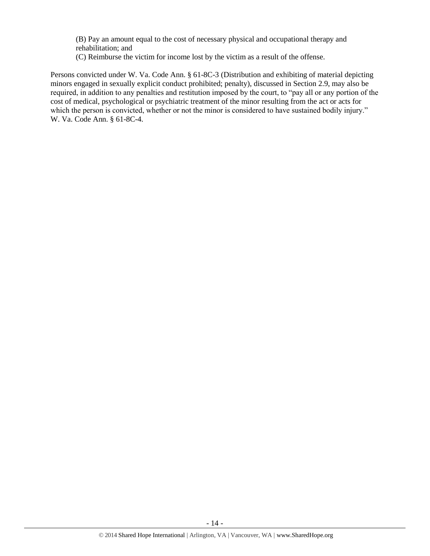(B) Pay an amount equal to the cost of necessary physical and occupational therapy and rehabilitation; and

(C) Reimburse the victim for income lost by the victim as a result of the offense.

Persons convicted under W. Va. Code Ann. § 61-8C-3 (Distribution and exhibiting of material depicting minors engaged in sexually explicit conduct prohibited; penalty), discussed in Section 2.9, may also be required, in addition to any penalties and restitution imposed by the court, to "pay all or any portion of the cost of medical, psychological or psychiatric treatment of the minor resulting from the act or acts for which the person is convicted, whether or not the minor is considered to have sustained bodily injury." W. Va. Code Ann. § 61-8C-4.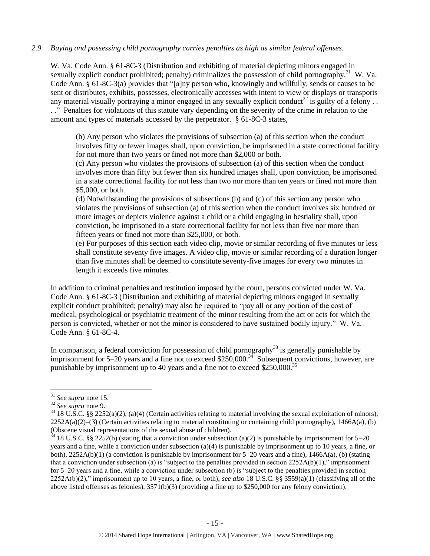## *2.9 Buying and possessing child pornography carries penalties as high as similar federal offenses.*

W. Va. Code Ann. § 61-8C-3 (Distribution and exhibiting of material depicting minors engaged in sexually explicit conduct prohibited; penalty) criminalizes the possession of child pornography.<sup>31</sup> W. Va. Code Ann. § 61-8C-3(a) provides that "[a]ny person who, knowingly and willfully, sends or causes to be sent or distributes, exhibits, possesses, electronically accesses with intent to view or displays or transports any material visually portraying a minor engaged in any sexually explicit conduct<sup>32</sup> is guilty of a felony . . . ." Penalties for violations of this statute vary depending on the severity of the crime in relation to the amount and types of materials accessed by the perpetrator. § 61-8C-3 states,

(b) Any person who violates the provisions of subsection (a) of this section when the conduct involves fifty or fewer images shall, upon conviction, be imprisoned in a state correctional facility for not more than two years or fined not more than \$2,000 or both.

(c) Any person who violates the provisions of subsection (a) of this section when the conduct involves more than fifty but fewer than six hundred images shall, upon conviction, be imprisoned in a state correctional facility for not less than two nor more than ten years or fined not more than \$5,000, or both.

(d) Notwithstanding the provisions of subsections (b) and (c) of this section any person who violates the provisions of subsection (a) of this section when the conduct involves six hundred or more images or depicts violence against a child or a child engaging in bestiality shall, upon conviction, be imprisoned in a state correctional facility for not less than five nor more than fifteen years or fined not more than \$25,000, or both.

(e) For purposes of this section each video clip, movie or similar recording of five minutes or less shall constitute seventy five images. A video clip, movie or similar recording of a duration longer than five minutes shall be deemed to constitute seventy-five images for every two minutes in length it exceeds five minutes.

In addition to criminal penalties and restitution imposed by the court, persons convicted under W. Va. Code Ann. § 61-8C-3 (Distribution and exhibiting of material depicting minors engaged in sexually explicit conduct prohibited; penalty) may also be required to "pay all or any portion of the cost of medical, psychological or psychiatric treatment of the minor resulting from the act or acts for which the person is convicted, whether or not the minor is considered to have sustained bodily injury." W. Va. Code Ann. § 61-8C-4.

In comparison, a federal conviction for possession of child pornography<sup>33</sup> is generally punishable by imprisonment for 5–20 years and a fine not to exceed \$250,000.<sup>34</sup> Subsequent convictions, however, are punishable by imprisonment up to 40 years and a fine not to exceed  $$250,000.<sup>35</sup>$ 

<sup>31</sup> *See supra* note [15.](#page-6-0)

<sup>32</sup> *See supra* note [9.](#page-3-0)

 $33$  18 U.S.C. §§ 2252(a)(2), (a)(4) (Certain activities relating to material involving the sexual exploitation of minors),  $2252A(a)(2)$ –(3) (Certain activities relating to material constituting or containing child pornography), 1466A(a), (b) (Obscene visual representations of the sexual abuse of children).

<sup>&</sup>lt;sup>34</sup> 18 U.S.C. §§ 2252(b) (stating that a conviction under subsection (a)(2) is punishable by imprisonment for 5–20 years and a fine, while a conviction under subsection (a)(4) is punishable by imprisonment up to 10 years, a fine, or both),  $2252A(b)(1)$  (a conviction is punishable by imprisonment for 5–20 years and a fine),  $1466A(a)$ , (b) (stating that a conviction under subsection (a) is "subject to the penalties provided in section  $2252A(b)(1)$ ," imprisonment for 5–20 years and a fine, while a conviction under subsection (b) is "subject to the penalties provided in section 2252A(b)(2)," imprisonment up to 10 years, a fine, or both); *see also* 18 U.S.C. §§ 3559(a)(1) (classifying all of the above listed offenses as felonies), 3571(b)(3) (providing a fine up to \$250,000 for any felony conviction).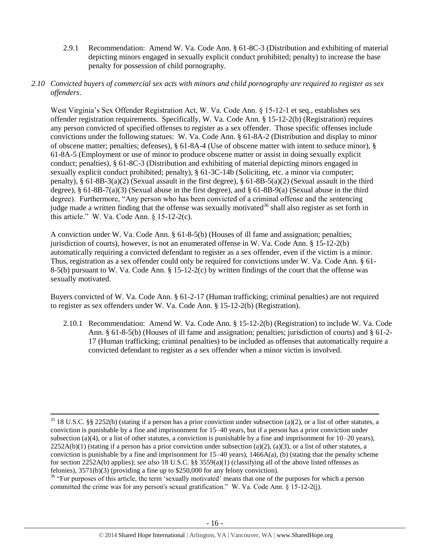- 2.9.1 Recommendation: Amend W. Va. Code Ann. § 61-8C-3 (Distribution and exhibiting of material depicting minors engaged in sexually explicit conduct prohibited; penalty) to increase the base penalty for possession of child pornography.
- *2.10 Convicted buyers of commercial sex acts with minors and child pornography are required to register as sex offenders*.

West Virginia's Sex Offender Registration Act, W. Va. Code Ann. § 15-12-1 et seq., establishes sex offender registration requirements. Specifically, W. Va. Code Ann. § 15-12-2(b) (Registration) requires any person convicted of specified offenses to register as a sex offender. Those specific offenses include convictions under the following statues: W. Va. Code Ann. § 61-8A-2 (Distribution and display to minor of obscene matter; penalties; defenses), § 61-8A-4 (Use of obscene matter with intent to seduce minor), § 61-8A-5 (Employment or use of minor to produce obscene matter or assist in doing sexually explicit conduct; penalties), § 61-8C-3 (Distribution and exhibiting of material depicting minors engaged in sexually explicit conduct prohibited; penalty), § 61-3C-14b (Soliciting, etc. a minor via computer; penalty), § 61-8B-3(a)(2) (Sexual assault in the first degree), § 61-8B-5(a)(2) (Sexual assault in the third degree),  $\S$  61-8B-7(a)(3) (Sexual abuse in the first degree), and  $\S$  61-8B-9(a) (Sexual abuse in the third degree). Furthermore, "Any person who has been convicted of a criminal offense and the sentencing judge made a written finding that the offense was sexually motivated<sup>36</sup> shall also register as set forth in this article." W. Va. Code Ann. § 15-12-2(c).

A conviction under W. Va. Code Ann. § 61-8-5(b) (Houses of ill fame and assignation; penalties; jurisdiction of courts), however, is not an enumerated offense in W. Va. Code Ann. § 15-12-2(b) automatically requiring a convicted defendant to register as a sex offender, even if the victim is a minor. Thus, registration as a sex offender could only be required for convictions under W. Va. Code Ann. § 61- 8-5(b) pursuant to W. Va. Code Ann. § 15-12-2(c) by written findings of the court that the offense was sexually motivated.

Buyers convicted of W. Va. Code Ann. § 61-2-17 (Human trafficking; criminal penalties) are not required to register as sex offenders under W. Va. Code Ann. § 15-12-2(b) (Registration).

2.10.1 Recommendation: Amend W. Va. Code Ann. § 15-12-2(b) (Registration) to include W. Va. Code Ann. § 61-8-5(b) (Houses of ill fame and assignation; penalties; jurisdiction of courts) and § 61-2- 17 (Human trafficking; criminal penalties) to be included as offenses that automatically require a convicted defendant to register as a sex offender when a minor victim is involved.

 $35$  18 U.S.C. §§ 2252(b) (stating if a person has a prior conviction under subsection (a)(2), or a list of other statutes, a conviction is punishable by a fine and imprisonment for 15–40 years, but if a person has a prior conviction under subsection (a)(4), or a list of other statutes, a conviction is punishable by a fine and imprisonment for  $10-20$  years),  $2252A(b)(1)$  (stating if a person has a prior conviction under subsection (a)(2), (a)(3), or a list of other statutes, a conviction is punishable by a fine and imprisonment for  $15-40$  years),  $1466A(a)$ , (b) (stating that the penalty scheme for section 2252A(b) applies); *see also* 18 U.S.C. §§ 3559(a)(1) (classifying all of the above listed offenses as felonies), 3571(b)(3) (providing a fine up to \$250,000 for any felony conviction).

<sup>&</sup>lt;sup>36</sup> "For purposes of this article, the term 'sexually motivated' means that one of the purposes for which a person committed the crime was for any person's sexual gratification." W. Va. Code Ann. § 15-12-2(j).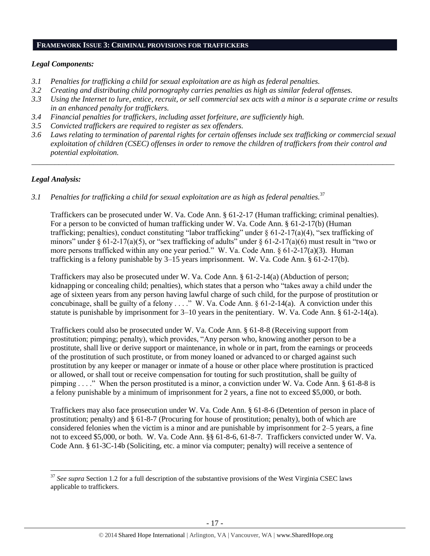#### **FRAMEWORK ISSUE 3: CRIMINAL PROVISIONS FOR TRAFFICKERS**

#### *Legal Components:*

- *3.1 Penalties for trafficking a child for sexual exploitation are as high as federal penalties.*
- *3.2 Creating and distributing child pornography carries penalties as high as similar federal offenses.*
- *3.3 Using the Internet to lure, entice, recruit, or sell commercial sex acts with a minor is a separate crime or results in an enhanced penalty for traffickers.*
- *3.4 Financial penalties for traffickers, including asset forfeiture, are sufficiently high.*
- *3.5 Convicted traffickers are required to register as sex offenders.*
- *3.6 Laws relating to termination of parental rights for certain offenses include sex trafficking or commercial sexual exploitation of children (CSEC) offenses in order to remove the children of traffickers from their control and potential exploitation.*

*\_\_\_\_\_\_\_\_\_\_\_\_\_\_\_\_\_\_\_\_\_\_\_\_\_\_\_\_\_\_\_\_\_\_\_\_\_\_\_\_\_\_\_\_\_\_\_\_\_\_\_\_\_\_\_\_\_\_\_\_\_\_\_\_\_\_\_\_\_\_\_\_\_\_\_\_\_\_\_\_\_\_\_\_\_\_\_\_\_\_\_\_\_\_*

## *Legal Analysis:*

 $\overline{\phantom{a}}$ 

*3.1 Penalties for trafficking a child for sexual exploitation are as high as federal penalties.*<sup>37</sup>

Traffickers can be prosecuted under W. Va. Code Ann. § 61-2-17 (Human trafficking; criminal penalties). For a person to be convicted of human trafficking under W. Va. Code Ann. § 61-2-17(b) (Human trafficking; penalties), conduct constituting "labor trafficking" under  $\S 61-2-17(a)(4)$ , "sex trafficking of minors" under § 61-2-17(a)(5), or "sex trafficking of adults" under § 61-2-17(a)(6) must result in "two or more persons trafficked within any one year period." W. Va. Code Ann.  $\S 61-2-17(a)(3)$ . Human trafficking is a felony punishable by 3–15 years imprisonment. W. Va. Code Ann. § 61-2-17(b).

Traffickers may also be prosecuted under W. Va. Code Ann. § 61-2-14(a) (Abduction of person; kidnapping or concealing child; penalties), which states that a person who "takes away a child under the age of sixteen years from any person having lawful charge of such child, for the purpose of prostitution or concubinage, shall be guilty of a felony . . . ." W. Va. Code Ann. § 61-2-14(a). A conviction under this statute is punishable by imprisonment for 3–10 years in the penitentiary. W. Va. Code Ann. § 61-2-14(a).

Traffickers could also be prosecuted under W. Va. Code Ann. § 61-8-8 (Receiving support from prostitution; pimping; penalty), which provides, "Any person who, knowing another person to be a prostitute, shall live or derive support or maintenance, in whole or in part, from the earnings or proceeds of the prostitution of such prostitute, or from money loaned or advanced to or charged against such prostitution by any keeper or manager or inmate of a house or other place where prostitution is practiced or allowed, or shall tout or receive compensation for touting for such prostitution, shall be guilty of pimping . . . ." When the person prostituted is a minor, a conviction under W. Va. Code Ann. § 61-8-8 is a felony punishable by a minimum of imprisonment for 2 years, a fine not to exceed \$5,000, or both.

Traffickers may also face prosecution under W. Va. Code Ann. § 61-8-6 (Detention of person in place of prostitution; penalty) and § 61-8-7 (Procuring for house of prostitution; penalty), both of which are considered felonies when the victim is a minor and are punishable by imprisonment for 2–5 years, a fine not to exceed \$5,000, or both. W. Va. Code Ann. §§ 61-8-6, 61-8-7. Traffickers convicted under W. Va. Code Ann. § 61-3C-14b (Soliciting, etc. a minor via computer; penalty) will receive a sentence of

<sup>&</sup>lt;sup>37</sup> See supra Section [1.2](#page-1-2) for a full description of the substantive provisions of the West Virginia CSEC laws applicable to traffickers.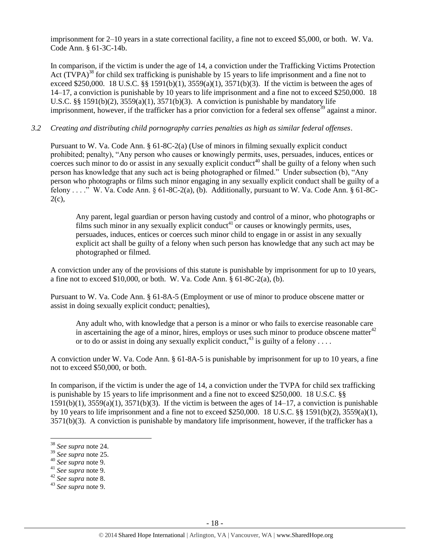imprisonment for 2–10 years in a state correctional facility, a fine not to exceed \$5,000, or both. W. Va. Code Ann. § 61-3C-14b.

In comparison, if the victim is under the age of 14, a conviction under the Trafficking Victims Protection Act  $(TVPA)^{38}$  for child sex trafficking is punishable by 15 years to life imprisonment and a fine not to exceed \$250,000. 18 U.S.C. §§ 1591(b)(1),  $3559(a)(1)$ ,  $3571(b)(3)$ . If the victim is between the ages of 14–17, a conviction is punishable by 10 years to life imprisonment and a fine not to exceed \$250,000. 18 U.S.C. §§ 1591(b)(2),  $3559(a)(1)$ ,  $3571(b)(3)$ . A conviction is punishable by mandatory life imprisonment, however, if the trafficker has a prior conviction for a federal sex offense<sup>39</sup> against a minor.

### *3.2 Creating and distributing child pornography carries penalties as high as similar federal offenses*.

Pursuant to W. Va. Code Ann. § 61-8C-2(a) (Use of minors in filming sexually explicit conduct prohibited; penalty), "Any person who causes or knowingly permits, uses, persuades, induces, entices or coerces such minor to do or assist in any sexually explicit conduct<sup>40</sup> shall be guilty of a felony when such person has knowledge that any such act is being photographed or filmed." Under subsection (b), "Any person who photographs or films such minor engaging in any sexually explicit conduct shall be guilty of a felony . . . ." W. Va. Code Ann. § 61-8C-2(a), (b). Additionally, pursuant to W. Va. Code Ann. § 61-8C- $2(c)$ ,

Any parent, legal guardian or person having custody and control of a minor, who photographs or films such minor in any sexually explicit conduct<sup>41</sup> or causes or knowingly permits, uses, persuades, induces, entices or coerces such minor child to engage in or assist in any sexually explicit act shall be guilty of a felony when such person has knowledge that any such act may be photographed or filmed.

A conviction under any of the provisions of this statute is punishable by imprisonment for up to 10 years, a fine not to exceed  $$10,000$ , or both. W. Va. Code Ann.  $§ 61-8C-2(a)$ , (b).

Pursuant to W. Va. Code Ann. § 61-8A-5 (Employment or use of minor to produce obscene matter or assist in doing sexually explicit conduct; penalties),

Any adult who, with knowledge that a person is a minor or who fails to exercise reasonable care in ascertaining the age of a minor, hires, employs or uses such minor to produce obscene matter $42$ or to do or assist in doing any sexually explicit conduct,<sup>43</sup> is guilty of a felony . . . .

A conviction under W. Va. Code Ann. § 61-8A-5 is punishable by imprisonment for up to 10 years, a fine not to exceed \$50,000, or both.

In comparison, if the victim is under the age of 14, a conviction under the TVPA for child sex trafficking is punishable by 15 years to life imprisonment and a fine not to exceed \$250,000. 18 U.S.C. §§  $1591(b)(1)$ ,  $3559(a)(1)$ ,  $3571(b)(3)$ . If the victim is between the ages of  $14-17$ , a conviction is punishable by 10 years to life imprisonment and a fine not to exceed \$250,000. 18 U.S.C. §§ 1591(b)(2), 3559(a)(1), 3571(b)(3). A conviction is punishable by mandatory life imprisonment, however, if the trafficker has a

- <sup>40</sup> *See supra* note [9.](#page-3-0)
- <sup>41</sup> *See supra* note [9.](#page-3-0)
- <sup>42</sup> *See supra* note [8.](#page-3-1)

<sup>38</sup> *See supra* note [24.](#page-9-0) 

<sup>39</sup> *See supra* note [25.](#page-10-0) 

<sup>43</sup> *See supra* note [9.](#page-3-0)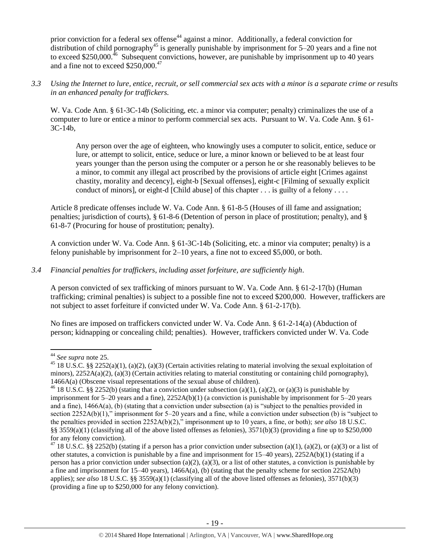prior conviction for a federal sex offense<sup>44</sup> against a minor. Additionally, a federal conviction for distribution of child pornography<sup>45</sup> is generally punishable by imprisonment for  $5-20$  years and a fine not to exceed \$250,000.<sup>46</sup> Subsequent convictions, however, are punishable by imprisonment up to 40 years and a fine not to exceed \$250,000.<sup>47</sup>

*3.3 Using the Internet to lure, entice, recruit, or sell commercial sex acts with a minor is a separate crime or results in an enhanced penalty for traffickers.*

W. Va. Code Ann. § 61-3C-14b (Soliciting, etc. a minor via computer; penalty) criminalizes the use of a computer to lure or entice a minor to perform commercial sex acts. Pursuant to W. Va. Code Ann. § 61- 3C-14b,

Any person over the age of eighteen, who knowingly uses a computer to solicit, entice, seduce or lure, or attempt to solicit, entice, seduce or lure, a minor known or believed to be at least four years younger than the person using the computer or a person he or she reasonably believes to be a minor, to commit any illegal act proscribed by the provisions of article eight [Crimes against chastity, morality and decency], eight-b [Sexual offenses], eight-c [Filming of sexually explicit conduct of minors], or eight-d [Child abuse] of this chapter . . . is guilty of a felony . . . .

Article 8 predicate offenses include W. Va. Code Ann. § 61-8-5 (Houses of ill fame and assignation; penalties; jurisdiction of courts), § 61-8-6 (Detention of person in place of prostitution; penalty), and § 61-8-7 (Procuring for house of prostitution; penalty).

A conviction under W. Va. Code Ann. § 61-3C-14b (Soliciting, etc. a minor via computer; penalty) is a felony punishable by imprisonment for 2–10 years, a fine not to exceed \$5,000, or both.

# *3.4 Financial penalties for traffickers, including asset forfeiture, are sufficiently high*.

A person convicted of sex trafficking of minors pursuant to W. Va. Code Ann. § 61-2-17(b) (Human trafficking; criminal penalties) is subject to a possible fine not to exceed \$200,000. However, traffickers are not subject to asset forfeiture if convicted under W. Va. Code Ann. § 61-2-17(b).

No fines are imposed on traffickers convicted under W. Va. Code Ann. § 61-2-14(a) (Abduction of person; kidnapping or concealing child; penalties). However, traffickers convicted under W. Va. Code

 $\overline{\phantom{a}}$ <sup>44</sup> *See supra* note [25.](#page-10-0)

<sup>&</sup>lt;sup>45</sup> 18 U.S.C. §§ 2252(a)(1), (a)(2), (a)(3) (Certain activities relating to material involving the sexual exploitation of minors),  $2252A(a)(2)$ , (a)(3) (Certain activities relating to material constituting or containing child pornography), 1466A(a) (Obscene visual representations of the sexual abuse of children).

<sup>&</sup>lt;sup>46</sup> 18 U.S.C. §§ 2252(b) (stating that a conviction under subsection (a)(1), (a)(2), or (a)(3) is punishable by imprisonment for 5–20 years and a fine), 2252A(b)(1) (a conviction is punishable by imprisonment for 5–20 years and a fine), 1466A(a), (b) (stating that a conviction under subsection (a) is "subject to the penalties provided in section 2252A(b)(1)," imprisonment for 5–20 years and a fine, while a conviction under subsection (b) is "subject to the penalties provided in section 2252A(b)(2)," imprisonment up to 10 years, a fine, or both); *see also* 18 U.S.C. §§ 3559(a)(1) (classifying all of the above listed offenses as felonies), 3571(b)(3) (providing a fine up to \$250,000 for any felony conviction).

<sup>&</sup>lt;sup>47</sup> 18 U.S.C. §§ 2252(b) (stating if a person has a prior conviction under subsection (a)(1), (a)(2), or (a)(3) or a list of other statutes, a conviction is punishable by a fine and imprisonment for 15–40 years), 2252A(b)(1) (stating if a person has a prior conviction under subsection (a)(2), (a)(3), or a list of other statutes, a conviction is punishable by a fine and imprisonment for  $15-40$  years),  $1466A(a)$ , (b) (stating that the penalty scheme for section  $2252A(b)$ applies); *see also* 18 U.S.C. §§ 3559(a)(1) (classifying all of the above listed offenses as felonies), 3571(b)(3) (providing a fine up to \$250,000 for any felony conviction).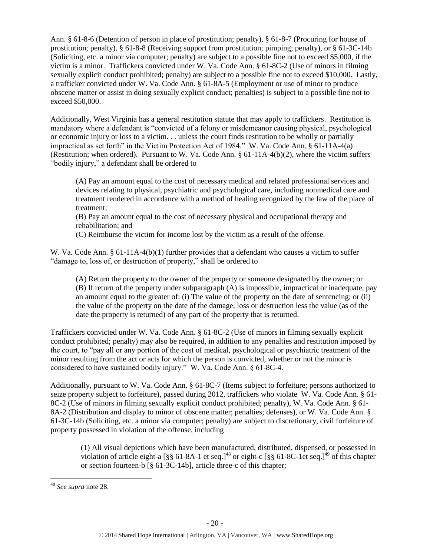Ann. § 61-8-6 (Detention of person in place of prostitution; penalty), § 61-8-7 (Procuring for house of prostitution; penalty), § 61-8-8 (Receiving support from prostitution; pimping; penalty), or § 61-3C-14b (Soliciting, etc. a minor via computer; penalty) are subject to a possible fine not to exceed \$5,000, if the victim is a minor. Traffickers convicted under W. Va. Code Ann. § 61-8C-2 (Use of minors in filming sexually explicit conduct prohibited; penalty) are subject to a possible fine not to exceed \$10,000. Lastly, a trafficker convicted under W. Va. Code Ann. § 61-8A-5 (Employment or use of minor to produce obscene matter or assist in doing sexually explicit conduct; penalties) is subject to a possible fine not to exceed \$50,000.

Additionally, West Virginia has a general restitution statute that may apply to traffickers. Restitution is mandatory where a defendant is "convicted of a felony or misdemeanor causing physical, psychological or economic injury or loss to a victim. . . unless the court finds restitution to be wholly or partially impractical as set forth" in the Victim Protection Act of 1984." W. Va. Code Ann. § 61-11A-4(a) (Restitution; when ordered). Pursuant to W. Va. Code Ann. § 61-11A-4(b)(2), where the victim suffers "bodily injury," a defendant shall be ordered to

(A) Pay an amount equal to the cost of necessary medical and related professional services and devices relating to physical, psychiatric and psychological care, including nonmedical care and treatment rendered in accordance with a method of healing recognized by the law of the place of treatment;

(B) Pay an amount equal to the cost of necessary physical and occupational therapy and rehabilitation; and

(C) Reimburse the victim for income lost by the victim as a result of the offense.

W. Va. Code Ann. § 61-11A-4(b)(1) further provides that a defendant who causes a victim to suffer "damage to, loss of, or destruction of property," shall be ordered to

(A) Return the property to the owner of the property or someone designated by the owner; or (B) If return of the property under subparagraph (A) is impossible, impractical or inadequate, pay an amount equal to the greater of: (i) The value of the property on the date of sentencing; or (ii) the value of the property on the date of the damage, loss or destruction less the value (as of the date the property is returned) of any part of the property that is returned.

Traffickers convicted under W. Va. Code Ann. § 61-8C-2 (Use of minors in filming sexually explicit conduct prohibited; penalty) may also be required, in addition to any penalties and restitution imposed by the court, to "pay all or any portion of the cost of medical, psychological or psychiatric treatment of the minor resulting from the act or acts for which the person is convicted, whether or not the minor is considered to have sustained bodily injury." W. Va. Code Ann. § 61-8C-4.

Additionally, pursuant to W. Va. Code Ann. § 61-8C-7 (Items subject to forfeiture; persons authorized to seize property subject to forfeiture), passed during 2012, traffickers who violate W. Va. Code Ann. § 61- 8C-2 (Use of minors in filming sexually explicit conduct prohibited; penalty), W. Va. Code Ann. § 61- 8A-2 (Distribution and display to minor of obscene matter; penalties; defenses), or W. Va. Code Ann. § 61-3C-14b (Soliciting, etc. a minor via computer; penalty) are subject to discretionary, civil forfeiture of property possessed in violation of the offense, including

(1) All visual depictions which have been manufactured, distributed, dispensed, or possessed in violation of article eight-a  $\left[\S \S \ 61-8A-1\right]$  et seq.]<sup>48</sup> or eight-c  $\left[\S \S \ 61-8C-1\right]$  et seq.]<sup>49</sup> of this chapter or section fourteen-b [§ 61-3C-14b], article three-c of this chapter;

l

<sup>48</sup> *See supra* note [28.](#page-11-0)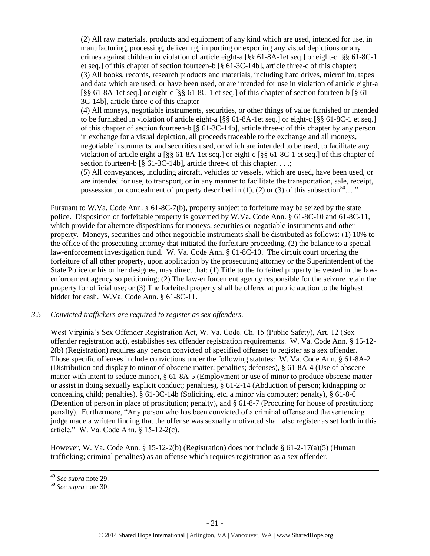(2) All raw materials, products and equipment of any kind which are used, intended for use, in manufacturing, processing, delivering, importing or exporting any visual depictions or any crimes against children in violation of article eight-a [§§ 61-8A-1et seq.] or eight-c [§§ 61-8C-1 et seq.] of this chapter of section fourteen-b [§ 61-3C-14b], article three-c of this chapter; (3) All books, records, research products and materials, including hard drives, microfilm, tapes and data which are used, or have been used, or are intended for use in violation of article eight-a [§§ 61-8A-1et seq.] or eight-c [§§ 61-8C-1 et seq.] of this chapter of section fourteen-b [§ 61- 3C-14b], article three-c of this chapter

(4) All moneys, negotiable instruments, securities, or other things of value furnished or intended to be furnished in violation of article eight-a [§§ 61-8A-1et seq.] or eight-c [§§ 61-8C-1 et seq.] of this chapter of section fourteen-b [§ 61-3C-14b], article three-c of this chapter by any person in exchange for a visual depiction, all proceeds traceable to the exchange and all moneys, negotiable instruments, and securities used, or which are intended to be used, to facilitate any violation of article eight-a [§§ 61-8A-1et seq.] or eight-c [§§ 61-8C-1 et seq.] of this chapter of section fourteen-b [§ 61-3C-14b], article three-c of this chapter. . . .;

(5) All conveyances, including aircraft, vehicles or vessels, which are used, have been used, or are intended for use, to transport, or in any manner to facilitate the transportation, sale, receipt, possession, or concealment of property described in (1), (2) or (3) of this subsection<sup>50</sup>…."

Pursuant to W.Va. Code Ann. § 61-8C-7(b), property subject to forfeiture may be seized by the state police. Disposition of forfeitable property is governed by W.Va. Code Ann. § 61-8C-10 and 61-8C-11, which provide for alternate dispositions for moneys, securities or negotiable instruments and other property. Moneys, securities and other negotiable instruments shall be distributed as follows: (1) 10% to the office of the prosecuting attorney that initiated the forfeiture proceeding, (2) the balance to a special law-enforcement investigation fund. W. Va. Code Ann. § 61-8C-10. The circuit court ordering the forfeiture of all other property, upon application by the prosecuting attorney or the Superintendent of the State Police or his or her designee, may direct that: (1) Title to the forfeited property be vested in the lawenforcement agency so petitioning; (2) The law-enforcement agency responsible for the seizure retain the property for official use; or (3) The forfeited property shall be offered at public auction to the highest bidder for cash. W.Va. Code Ann. § 61-8C-11.

#### *3.5 Convicted traffickers are required to register as sex offenders.*

West Virginia's Sex Offender Registration Act, W. Va. Code. Ch. 15 (Public Safety), Art. 12 (Sex offender registration act), establishes sex offender registration requirements. W. Va. Code Ann. § 15-12- 2(b) (Registration) requires any person convicted of specified offenses to register as a sex offender. Those specific offenses include convictions under the following statutes: W. Va. Code Ann. § 61-8A-2 (Distribution and display to minor of obscene matter; penalties; defenses), § 61-8A-4 (Use of obscene matter with intent to seduce minor), § 61-8A-5 (Employment or use of minor to produce obscene matter or assist in doing sexually explicit conduct; penalties), § 61-2-14 (Abduction of person; kidnapping or concealing child; penalties), § 61-3C-14b (Soliciting, etc. a minor via computer; penalty), § 61-8-6 (Detention of person in place of prostitution; penalty), and § 61-8-7 (Procuring for house of prostitution; penalty). Furthermore, "Any person who has been convicted of a criminal offense and the sentencing judge made a written finding that the offense was sexually motivated shall also register as set forth in this article." W. Va. Code Ann. § 15-12-2(c).

However, W. Va. Code Ann. § 15-12-2(b) (Registration) does not include § 61-2-17(a)(5) (Human trafficking; criminal penalties) as an offense which requires registration as a sex offender.

 $\overline{\phantom{a}}$ <sup>49</sup> *See supra* note [29.](#page-11-1)

<sup>50</sup> *See supra* note [30.](#page-12-0)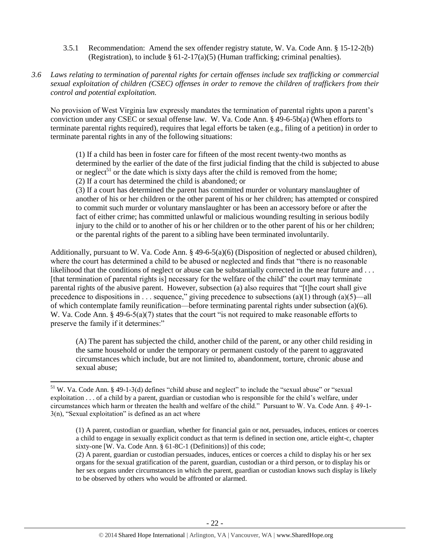- 3.5.1 Recommendation: Amend the sex offender registry statute, W. Va. Code Ann. § 15-12-2(b) (Registration), to include  $\S 61-2-17(a)(5)$  (Human trafficking; criminal penalties).
- *3.6 Laws relating to termination of parental rights for certain offenses include sex trafficking or commercial sexual exploitation of children (CSEC) offenses in order to remove the children of traffickers from their control and potential exploitation.*

No provision of West Virginia law expressly mandates the termination of parental rights upon a parent's conviction under any CSEC or sexual offense law. W. Va. Code Ann. § 49-6-5b(a) (When efforts to terminate parental rights required), requires that legal efforts be taken (e.g., filing of a petition) in order to terminate parental rights in any of the following situations:

(1) If a child has been in foster care for fifteen of the most recent twenty-two months as determined by the earlier of the date of the first judicial finding that the child is subjected to abuse or neglect<sup>51</sup> or the date which is sixty days after the child is removed from the home; (2) If a court has determined the child is abandoned; or

<span id="page-21-0"></span>(3) If a court has determined the parent has committed murder or voluntary manslaughter of another of his or her children or the other parent of his or her children; has attempted or conspired to commit such murder or voluntary manslaughter or has been an accessory before or after the fact of either crime; has committed unlawful or malicious wounding resulting in serious bodily injury to the child or to another of his or her children or to the other parent of his or her children; or the parental rights of the parent to a sibling have been terminated involuntarily.

Additionally, pursuant to W. Va. Code Ann. § 49-6-5(a)(6) (Disposition of neglected or abused children), where the court has determined a child to be abused or neglected and finds that "there is no reasonable likelihood that the conditions of neglect or abuse can be substantially corrected in the near future and . . . [that termination of parental rights is] necessary for the welfare of the child" the court may terminate parental rights of the abusive parent. However, subsection (a) also requires that "[t]he court shall give precedence to dispositions in . . . sequence," giving precedence to subsections (a)(1) through (a)(5)—all of which contemplate family reunification—before terminating parental rights under subsection (a)(6). W. Va. Code Ann. § 49-6-5(a)(7) states that the court "is not required to make reasonable efforts to preserve the family if it determines:"

(A) The parent has subjected the child, another child of the parent, or any other child residing in the same household or under the temporary or permanent custody of the parent to aggravated circumstances which include, but are not limited to, abandonment, torture, chronic abuse and sexual abuse;

 $\overline{a}$ 

 $51$  W. Va. Code Ann. § 49-1-3(d) defines "child abuse and neglect" to include the "sexual abuse" or "sexual exploitation . . . of a child by a parent, guardian or custodian who is responsible for the child's welfare, under circumstances which harm or threaten the health and welfare of the child." Pursuant to W. Va. Code Ann. § 49-1-  $3(n)$ , "Sexual exploitation" is defined as an act where

<sup>(1)</sup> A parent, custodian or guardian, whether for financial gain or not, persuades, induces, entices or coerces a child to engage in sexually explicit conduct as that term is defined in section one, article eight-c, chapter sixty-one [W. Va. Code Ann. § 61-8C-1 (Definitions)] of this code;

<sup>(2)</sup> A parent, guardian or custodian persuades, induces, entices or coerces a child to display his or her sex organs for the sexual gratification of the parent, guardian, custodian or a third person, or to display his or her sex organs under circumstances in which the parent, guardian or custodian knows such display is likely to be observed by others who would be affronted or alarmed.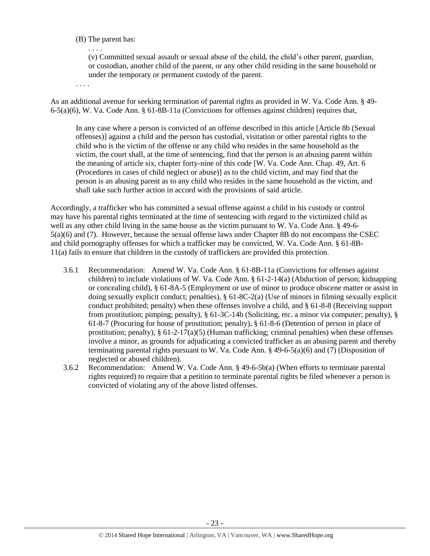### (B) The parent has:

. . . . (v) Committed sexual assault or sexual abuse of the child, the child's other parent, guardian, or custodian, another child of the parent, or any other child residing in the same household or under the temporary or permanent custody of the parent.

. . . .

As an additional avenue for seeking termination of parental rights as provided in W. Va. Code Ann. § 49- 6-5(a)(6), W. Va. Code Ann. § 61-8B-11a (Convictions for offenses against children) requires that,

In any case where a person is convicted of an offense described in this article [Article 8b (Sexual offenses)] against a child and the person has custodial, visitation or other parental rights to the child who is the victim of the offense or any child who resides in the same household as the victim, the court shall, at the time of sentencing, find that the person is an abusing parent within the meaning of article six, chapter forty-nine of this code [W. Va. Code Ann. Chap. 49, Art. 6 (Procedures in cases of child neglect or abuse)] as to the child victim, and may find that the person is an abusing parent as to any child who resides in the same household as the victim, and shall take such further action in accord with the provisions of said article.

Accordingly, a trafficker who has committed a sexual offense against a child in his custody or control may have his parental rights terminated at the time of sentencing with regard to the victimized child as well as any other child living in the same house as the victim pursuant to W. Va. Code Ann. § 49-6- 5(a)(6) and (7). However, because the sexual offense laws under Chapter 8B do not encompass the CSEC and child pornography offenses for which a trafficker may be convicted, W. Va. Code Ann. § 61-8B-11(a) fails to ensure that children in the custody of traffickers are provided this protection.

- 3.6.1 Recommendation: Amend W. Va. Code Ann. § 61-8B-11a (Convictions for offenses against children) to include violations of W. Va. Code Ann. § 61-2-14(a) (Abduction of person; kidnapping or concealing child), § 61-8A-5 (Employment or use of minor to produce obscene matter or assist in doing sexually explicit conduct; penalties), § 61-8C-2(a) (Use of minors in filming sexually explicit conduct prohibited; penalty) when these offenses involve a child, and § 61-8-8 (Receiving support from prostitution; pimping; penalty), § 61-3C-14b (Soliciting, etc. a minor via computer; penalty), § 61-8-7 (Procuring for house of prostitution; penalty), § 61-8-6 (Detention of person in place of prostitution; penalty),  $\S 61-2-17(a)(5)$  (Human trafficking; criminal penalties) when these offenses involve a minor, as grounds for adjudicating a convicted trafficker as an abusing parent and thereby terminating parental rights pursuant to W. Va. Code Ann.  $\S$  49-6-5(a)(6) and (7) (Disposition of neglected or abused children).
- 3.6.2 Recommendation: Amend W. Va. Code Ann. § 49-6-5b(a) (When efforts to terminate parental rights required) to require that a petition to terminate parental rights be filed whenever a person is convicted of violating any of the above listed offenses.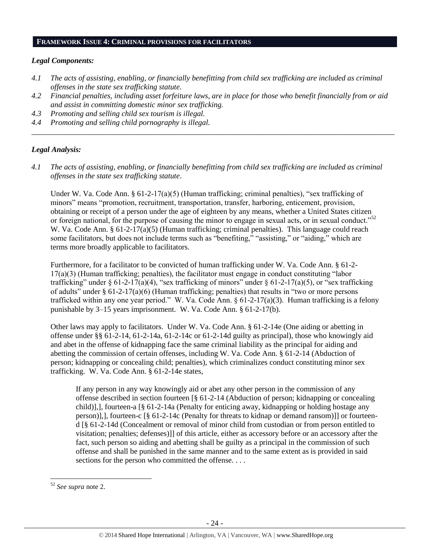#### **FRAMEWORK ISSUE 4: CRIMINAL PROVISIONS FOR FACILITATORS**

#### *Legal Components:*

- *4.1 The acts of assisting, enabling, or financially benefitting from child sex trafficking are included as criminal offenses in the state sex trafficking statute.*
- *4.2 Financial penalties, including asset forfeiture laws, are in place for those who benefit financially from or aid and assist in committing domestic minor sex trafficking.*

*\_\_\_\_\_\_\_\_\_\_\_\_\_\_\_\_\_\_\_\_\_\_\_\_\_\_\_\_\_\_\_\_\_\_\_\_\_\_\_\_\_\_\_\_\_\_\_\_\_\_\_\_\_\_\_\_\_\_\_\_\_\_\_\_\_\_\_\_\_\_\_\_\_\_\_\_\_\_\_\_\_\_\_\_\_\_\_\_\_\_\_\_\_\_*

- *4.3 Promoting and selling child sex tourism is illegal.*
- *4.4 Promoting and selling child pornography is illegal.*

#### *Legal Analysis:*

*4.1 The acts of assisting, enabling, or financially benefitting from child sex trafficking are included as criminal offenses in the state sex trafficking statute*.

Under W. Va. Code Ann. §  $61-2-17(a)(5)$  (Human trafficking; criminal penalties), "sex trafficking of minors" means "promotion, recruitment, transportation, transfer, harboring, enticement, provision, obtaining or receipt of a person under the age of eighteen by any means, whether a United States citizen or foreign national, for the purpose of causing the minor to engage in sexual acts, or in sexual conduct."<sup>52</sup> W. Va. Code Ann. § 61-2-17(a)(5) (Human trafficking; criminal penalties). This language could reach some facilitators, but does not include terms such as "benefiting," "assisting," or "aiding," which are terms more broadly applicable to facilitators.

Furthermore, for a facilitator to be convicted of human trafficking under W. Va. Code Ann. § 61-2- 17(a)(3) (Human trafficking; penalties), the facilitator must engage in conduct constituting "labor trafficking" under § 61-2-17(a)(4), "sex trafficking of minors" under § 61-2-17(a)(5), or "sex trafficking of adults" under § 61-2-17(a)(6) (Human trafficking; penalties) that results in "two or more persons trafficked within any one year period." W. Va. Code Ann. § 61-2-17(a)(3). Human trafficking is a felony punishable by 3–15 years imprisonment. W. Va. Code Ann. § 61-2-17(b).

Other laws may apply to facilitators. Under W. Va. Code Ann. § 61-2-14e (One aiding or abetting in offense under §§ 61-2-14, 61-2-14a, 61-2-14c or 61-2-14d guilty as principal), those who knowingly aid and abet in the offense of kidnapping face the same criminal liability as the principal for aiding and abetting the commission of certain offenses, including W. Va. Code Ann. § 61-2-14 (Abduction of person; kidnapping or concealing child; penalties), which criminalizes conduct constituting minor sex trafficking. W. Va. Code Ann. § 61-2-14e states,

If any person in any way knowingly aid or abet any other person in the commission of any offense described in section fourteen [§ 61-2-14 (Abduction of person; kidnapping or concealing child)],], fourteen-a [§ 61-2-14a (Penalty for enticing away, kidnapping or holding hostage any person)],], fourteen-c [§ 61-2-14c (Penalty for threats to kidnap or demand ransom)]] or fourteend [§ 61-2-14d (Concealment or removal of minor child from custodian or from person entitled to visitation; penalties; defenses)]] of this article, either as accessory before or an accessory after the fact, such person so aiding and abetting shall be guilty as a principal in the commission of such offense and shall be punished in the same manner and to the same extent as is provided in said sections for the person who committed the offense. . . .

l

<sup>52</sup> *See supra* note [2.](#page-1-0)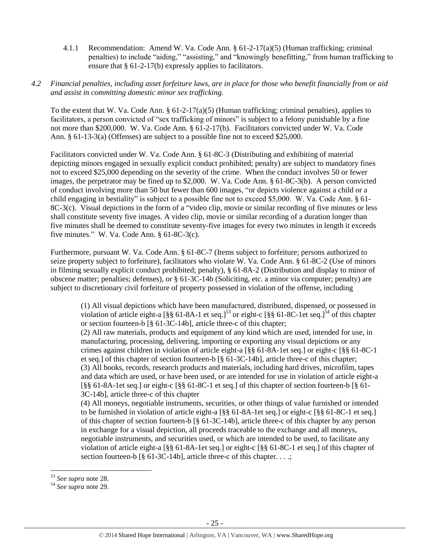4.1.1 Recommendation: Amend W. Va. Code Ann. § 61-2-17(a)(5) (Human trafficking; criminal penalties) to include "aiding," "assisting," and "knowingly benefitting," from human trafficking to ensure that § 61-2-17(b) expressly applies to facilitators.

#### *4.2 Financial penalties, including asset forfeiture laws, are in place for those who benefit financially from or aid and assist in committing domestic minor sex trafficking.*

To the extent that W. Va. Code Ann. § 61-2-17(a)(5) (Human trafficking; criminal penalties), applies to facilitators, a person convicted of "sex trafficking of minors" is subject to a felony punishable by a fine not more than \$200,000. W. Va. Code Ann. § 61-2-17(b). Facilitators convicted under W. Va. Code Ann. § 61-13-3(a) (Offenses) are subject to a possible fine not to exceed \$25,000.

Facilitators convicted under W. Va. Code Ann. § 61-8C-3 (Distributing and exhibiting of material depicting minors engaged in sexually explicit conduct prohibited; penalty) are subject to mandatory fines not to exceed \$25,000 depending on the severity of the crime. When the conduct involves 50 or fewer images, the perpetrator may be fined up to \$2,000. W. Va. Code Ann. § 61-8C-3(b). A person convicted of conduct involving more than 50 but fewer than 600 images, "or depicts violence against a child or a child engaging in bestiality" is subject to a possible fine not to exceed \$5,000. W. Va. Code Ann. § 61- 8C-3(c). Visual depictions in the form of a "video clip, movie or similar recording of five minutes or less shall constitute seventy five images. A video clip, movie or similar recording of a duration longer than five minutes shall be deemed to constitute seventy-five images for every two minutes in length it exceeds five minutes." W. Va. Code Ann. § 61-8C-3(c).

Furthermore, pursuant W. Va. Code Ann. § 61-8C-7 (Items subject to forfeiture; persons authorized to seize property subject to forfeiture), facilitators who violate W. Va. Code Ann. § 61-8C-2 (Use of minors in filming sexually explicit conduct prohibited; penalty), § 61-8A-2 (Distribution and display to minor of obscene matter; penalties; defenses), or § 61-3C-14b (Soliciting, etc. a minor via computer; penalty) are subject to discretionary civil forfeiture of property possessed in violation of the offense, including

(1) All visual depictions which have been manufactured, distributed, dispensed, or possessed in violation of article eight-a  $\left[\S\\\\{61-8A-1\right]$  et seq.]<sup>53</sup> or eight-c  $\left[\S\\\{61-8C-1\right]$  et seq.]<sup>54</sup> of this chapter or section fourteen-b [§ 61-3C-14b], article three-c of this chapter;

(2) All raw materials, products and equipment of any kind which are used, intended for use, in manufacturing, processing, delivering, importing or exporting any visual depictions or any crimes against children in violation of article eight-a [§§ 61-8A-1et seq.] or eight-c [§§ 61-8C-1 et seq.] of this chapter of section fourteen-b [§ 61-3C-14b], article three-c of this chapter; (3) All books, records, research products and materials, including hard drives, microfilm, tapes and data which are used, or have been used, or are intended for use in violation of article eight-a [§§ 61-8A-1et seq.] or eight-c [§§ 61-8C-1 et seq.] of this chapter of section fourteen-b [§ 61- 3C-14b], article three-c of this chapter

(4) All moneys, negotiable instruments, securities, or other things of value furnished or intended to be furnished in violation of article eight-a [§§ 61-8A-1et seq.] or eight-c [§§ 61-8C-1 et seq.] of this chapter of section fourteen-b [§ 61-3C-14b], article three-c of this chapter by any person in exchange for a visual depiction, all proceeds traceable to the exchange and all moneys, negotiable instruments, and securities used, or which are intended to be used, to facilitate any violation of article eight-a [§§ 61-8A-1et seq.] or eight-c [§§ 61-8C-1 et seq.] of this chapter of section fourteen-b [§ 61-3C-14b], article three-c of this chapter. . . .;

<sup>53</sup> *See supra* note [28.](#page-11-0) 

<sup>54</sup> *See supra* note [29.](#page-11-1)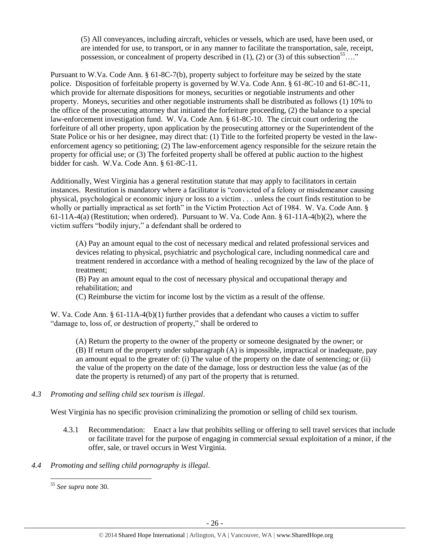(5) All conveyances, including aircraft, vehicles or vessels, which are used, have been used, or are intended for use, to transport, or in any manner to facilitate the transportation, sale, receipt, possession, or concealment of property described in (1), (2) or (3) of this subsection<sup>55</sup>…."

Pursuant to W.Va. Code Ann. § 61-8C-7(b), property subject to forfeiture may be seized by the state police. Disposition of forfeitable property is governed by W.Va. Code Ann. § 61-8C-10 and 61-8C-11, which provide for alternate dispositions for moneys, securities or negotiable instruments and other property. Moneys, securities and other negotiable instruments shall be distributed as follows (1) 10% to the office of the prosecuting attorney that initiated the forfeiture proceeding, (2) the balance to a special law-enforcement investigation fund. W. Va. Code Ann. § 61-8C-10. The circuit court ordering the forfeiture of all other property, upon application by the prosecuting attorney or the Superintendent of the State Police or his or her designee, may direct that: (1) Title to the forfeited property be vested in the lawenforcement agency so petitioning; (2) The law-enforcement agency responsible for the seizure retain the property for official use; or (3) The forfeited property shall be offered at public auction to the highest bidder for cash. W.Va. Code Ann. § 61-8C-11.

Additionally, West Virginia has a general restitution statute that may apply to facilitators in certain instances. Restitution is mandatory where a facilitator is "convicted of a felony or misdemeanor causing physical, psychological or economic injury or loss to a victim . . . unless the court finds restitution to be wholly or partially impractical as set forth" in the Victim Protection Act of 1984. W. Va. Code Ann. § 61-11A-4(a) (Restitution; when ordered). Pursuant to W. Va. Code Ann. § 61-11A-4(b)(2), where the victim suffers "bodily injury," a defendant shall be ordered to

(A) Pay an amount equal to the cost of necessary medical and related professional services and devices relating to physical, psychiatric and psychological care, including nonmedical care and treatment rendered in accordance with a method of healing recognized by the law of the place of treatment;

(B) Pay an amount equal to the cost of necessary physical and occupational therapy and rehabilitation; and

(C) Reimburse the victim for income lost by the victim as a result of the offense.

W. Va. Code Ann. § 61-11A-4(b)(1) further provides that a defendant who causes a victim to suffer "damage to, loss of, or destruction of property," shall be ordered to

(A) Return the property to the owner of the property or someone designated by the owner; or (B) If return of the property under subparagraph (A) is impossible, impractical or inadequate, pay an amount equal to the greater of: (i) The value of the property on the date of sentencing; or (ii) the value of the property on the date of the damage, loss or destruction less the value (as of the date the property is returned) of any part of the property that is returned.

*4.3 Promoting and selling child sex tourism is illegal*.

West Virginia has no specific provision criminalizing the promotion or selling of child sex tourism.

- 4.3.1 Recommendation: Enact a law that prohibits selling or offering to sell travel services that include or facilitate travel for the purpose of engaging in commercial sexual exploitation of a minor, if the offer, sale, or travel occurs in West Virginia.
- *4.4 Promoting and selling child pornography is illegal*.

l

<sup>55</sup> *See supra* note [30.](#page-12-0)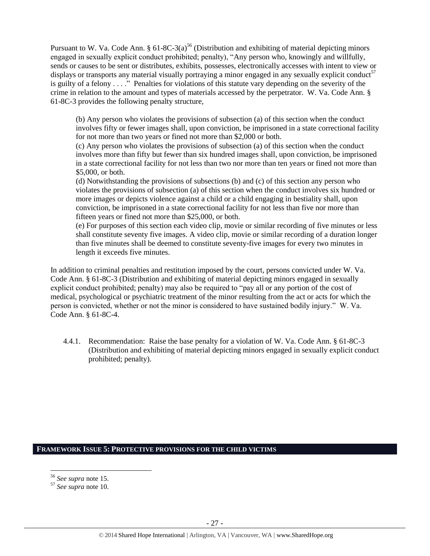Pursuant to W. Va. Code Ann. §  $61-8C-3(a)^{56}$  (Distribution and exhibiting of material depicting minors engaged in sexually explicit conduct prohibited; penalty), "Any person who, knowingly and willfully, sends or causes to be sent or distributes, exhibits, possesses, electronically accesses with intent to view or displays or transports any material visually portraying a minor engaged in any sexually explicit conduct<sup>57</sup> is guilty of a felony . . . ." Penalties for violations of this statute vary depending on the severity of the crime in relation to the amount and types of materials accessed by the perpetrator. W. Va. Code Ann. § 61-8C-3 provides the following penalty structure,

(b) Any person who violates the provisions of subsection (a) of this section when the conduct involves fifty or fewer images shall, upon conviction, be imprisoned in a state correctional facility for not more than two years or fined not more than \$2,000 or both.

(c) Any person who violates the provisions of subsection (a) of this section when the conduct involves more than fifty but fewer than six hundred images shall, upon conviction, be imprisoned in a state correctional facility for not less than two nor more than ten years or fined not more than \$5,000, or both.

(d) Notwithstanding the provisions of subsections (b) and (c) of this section any person who violates the provisions of subsection (a) of this section when the conduct involves six hundred or more images or depicts violence against a child or a child engaging in bestiality shall, upon conviction, be imprisoned in a state correctional facility for not less than five nor more than fifteen years or fined not more than \$25,000, or both.

(e) For purposes of this section each video clip, movie or similar recording of five minutes or less shall constitute seventy five images. A video clip, movie or similar recording of a duration longer than five minutes shall be deemed to constitute seventy-five images for every two minutes in length it exceeds five minutes.

In addition to criminal penalties and restitution imposed by the court, persons convicted under W. Va. Code Ann. § 61-8C-3 (Distribution and exhibiting of material depicting minors engaged in sexually explicit conduct prohibited; penalty) may also be required to "pay all or any portion of the cost of medical, psychological or psychiatric treatment of the minor resulting from the act or acts for which the person is convicted, whether or not the minor is considered to have sustained bodily injury." W. Va. Code Ann. § 61-8C-4.

4.4.1. Recommendation: Raise the base penalty for a violation of W. Va. Code Ann. § 61-8C-3 (Distribution and exhibiting of material depicting minors engaged in sexually explicit conduct prohibited; penalty).

# **FRAMEWORK ISSUE 5: PROTECTIVE PROVISIONS FOR THE CHILD VICTIMS**

<sup>56</sup> *See supra* note [15.](#page-6-0)

<sup>57</sup> *See supra* note [10.](#page-3-2)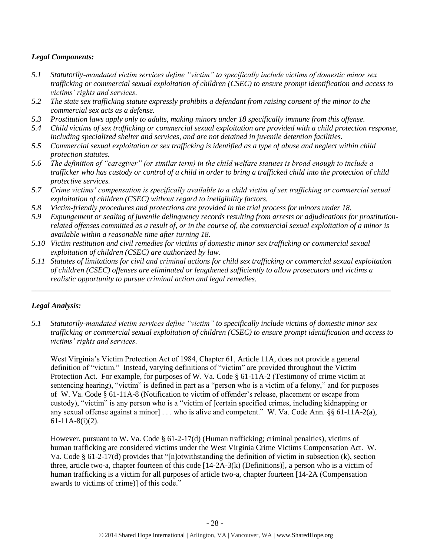# *Legal Components:*

- *5.1 Statutorily-mandated victim services define "victim" to specifically include victims of domestic minor sex trafficking or commercial sexual exploitation of children (CSEC) to ensure prompt identification and access to victims' rights and services.*
- *5.2 The state sex trafficking statute expressly prohibits a defendant from raising consent of the minor to the commercial sex acts as a defense.*
- *5.3 Prostitution laws apply only to adults, making minors under 18 specifically immune from this offense.*
- *5.4 Child victims of sex trafficking or commercial sexual exploitation are provided with a child protection response, including specialized shelter and services, and are not detained in juvenile detention facilities.*
- *5.5 Commercial sexual exploitation or sex trafficking is identified as a type of abuse and neglect within child protection statutes.*
- *5.6 The definition of "caregiver" (or similar term) in the child welfare statutes is broad enough to include a trafficker who has custody or control of a child in order to bring a trafficked child into the protection of child protective services.*
- *5.7 Crime victims' compensation is specifically available to a child victim of sex trafficking or commercial sexual exploitation of children (CSEC) without regard to ineligibility factors.*
- *5.8 Victim-friendly procedures and protections are provided in the trial process for minors under 18.*
- *5.9 Expungement or sealing of juvenile delinquency records resulting from arrests or adjudications for prostitutionrelated offenses committed as a result of, or in the course of, the commercial sexual exploitation of a minor is available within a reasonable time after turning 18.*
- *5.10 Victim restitution and civil remedies for victims of domestic minor sex trafficking or commercial sexual exploitation of children (CSEC) are authorized by law.*
- *5.11 Statutes of limitations for civil and criminal actions for child sex trafficking or commercial sexual exploitation of children (CSEC) offenses are eliminated or lengthened sufficiently to allow prosecutors and victims a realistic opportunity to pursue criminal action and legal remedies.*

*\_\_\_\_\_\_\_\_\_\_\_\_\_\_\_\_\_\_\_\_\_\_\_\_\_\_\_\_\_\_\_\_\_\_\_\_\_\_\_\_\_\_\_\_\_\_\_\_\_\_\_\_\_\_\_\_\_\_\_\_\_\_\_\_\_\_\_\_\_\_\_\_\_\_\_\_\_\_\_\_\_\_\_\_\_\_\_\_\_\_\_\_\_*

# *Legal Analysis:*

*5.1 Statutorily-mandated victim services define "victim" to specifically include victims of domestic minor sex trafficking or commercial sexual exploitation of children (CSEC) to ensure prompt identification and access to victims' rights and services.*

West Virginia's Victim Protection Act of 1984, Chapter 61, Article 11A, does not provide a general definition of "victim." Instead, varying definitions of "victim" are provided throughout the Victim Protection Act. For example, for purposes of W. Va. Code § 61-11A-2 (Testimony of crime victim at sentencing hearing), "victim" is defined in part as a "person who is a victim of a felony," and for purposes of W. Va. Code § 61-11A-8 (Notification to victim of offender's release, placement or escape from custody), "victim" is any person who is a "victim of [certain specified crimes, including kidnapping or any sexual offense against a minor] . . . who is alive and competent." W. Va. Code Ann. §§ 61-11A-2(a), 61-11A-8(i)(2).

However, pursuant to W. Va. Code § 61-2-17(d) (Human trafficking; criminal penalties), victims of human trafficking are considered victims under the West Virginia Crime Victims Compensation Act. W. Va. Code § 61-2-17(d) provides that "[n]otwithstanding the definition of victim in subsection (k), section three, article two-a, chapter fourteen of this code  $[14-2A-3(k)$  (Definitions)], a person who is a victim of human trafficking is a victim for all purposes of article two-a, chapter fourteen [14-2A (Compensation awards to victims of crime)] of this code."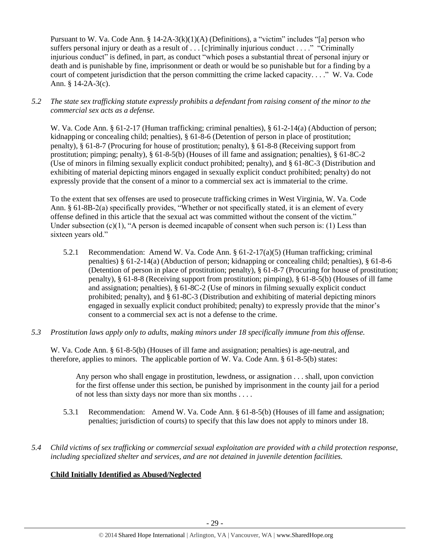Pursuant to W. Va. Code Ann. §  $14-2A-3(k)(1)(A)$  (Definitions), a "victim" includes "[a] person who suffers personal injury or death as a result of . . . [c]riminally injurious conduct . . . ." "Criminally injurious conduct" is defined, in part, as conduct "which poses a substantial threat of personal injury or death and is punishable by fine, imprisonment or death or would be so punishable but for a finding by a court of competent jurisdiction that the person committing the crime lacked capacity. . . ." W. Va. Code Ann. § 14-2A-3(c).

*5.2 The state sex trafficking statute expressly prohibits a defendant from raising consent of the minor to the commercial sex acts as a defense.*

W. Va. Code Ann. § 61-2-17 (Human trafficking; criminal penalties), § 61-2-14(a) (Abduction of person; kidnapping or concealing child; penalties), § 61-8-6 (Detention of person in place of prostitution; penalty), § 61-8-7 (Procuring for house of prostitution; penalty), § 61-8-8 (Receiving support from prostitution; pimping; penalty), § 61-8-5(b) (Houses of ill fame and assignation; penalties), § 61-8C-2 (Use of minors in filming sexually explicit conduct prohibited; penalty), and § 61-8C-3 (Distribution and exhibiting of material depicting minors engaged in sexually explicit conduct prohibited; penalty) do not expressly provide that the consent of a minor to a commercial sex act is immaterial to the crime.

To the extent that sex offenses are used to prosecute trafficking crimes in West Virginia, W. Va. Code Ann. § 61-8B-2(a) specifically provides, "Whether or not specifically stated, it is an element of every offense defined in this article that the sexual act was committed without the consent of the victim." Under subsection (c)(1), "A person is deemed incapable of consent when such person is: (1) Less than sixteen years old."

- 5.2.1 Recommendation: Amend W. Va. Code Ann. § 61-2-17(a)(5) (Human trafficking; criminal penalties) § 61-2-14(a) (Abduction of person; kidnapping or concealing child; penalties), § 61-8-6 (Detention of person in place of prostitution; penalty), § 61-8-7 (Procuring for house of prostitution; penalty), § 61-8-8 (Receiving support from prostitution; pimping), § 61-8-5(b) (Houses of ill fame and assignation; penalties), § 61-8C-2 (Use of minors in filming sexually explicit conduct prohibited; penalty), and § 61-8C-3 (Distribution and exhibiting of material depicting minors engaged in sexually explicit conduct prohibited; penalty) to expressly provide that the minor's consent to a commercial sex act is not a defense to the crime.
- *5.3 Prostitution laws apply only to adults, making minors under 18 specifically immune from this offense.*

W. Va. Code Ann. § 61-8-5(b) (Houses of ill fame and assignation; penalties) is age-neutral, and therefore, applies to minors. The applicable portion of W. Va. Code Ann. § 61-8-5(b) states:

Any person who shall engage in prostitution, lewdness, or assignation . . . shall, upon conviction for the first offense under this section, be punished by imprisonment in the county jail for a period of not less than sixty days nor more than six months . . . .

- 5.3.1 Recommendation: Amend W. Va. Code Ann. § 61-8-5(b) (Houses of ill fame and assignation; penalties; jurisdiction of courts) to specify that this law does not apply to minors under 18.
- *5.4 Child victims of sex trafficking or commercial sexual exploitation are provided with a child protection response, including specialized shelter and services, and are not detained in juvenile detention facilities.*

# **Child Initially Identified as Abused/Neglected**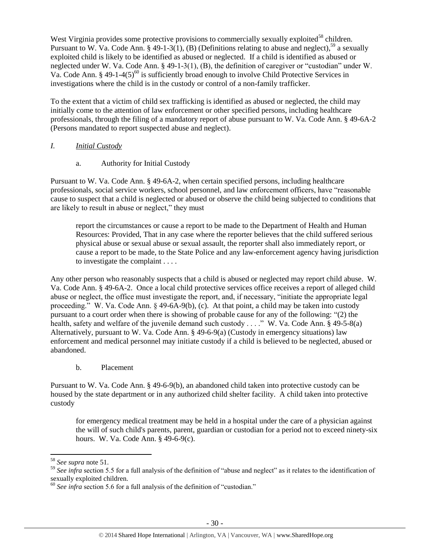West Virginia provides some protective provisions to commercially sexually exploited<sup>58</sup> children. Pursuant to W. Va. Code Ann. § 49-1-3(1), (B) (Definitions relating to abuse and neglect),<sup>59</sup> a sexually exploited child is likely to be identified as abused or neglected. If a child is identified as abused or neglected under W. Va. Code Ann. § 49-1-3(1), (B), the definition of caregiver or "custodian" under W. Va. Code Ann. § 49-1-4(5)<sup>60</sup> is sufficiently broad enough to involve Child Protective Services in investigations where the child is in the custody or control of a non-family trafficker.

To the extent that a victim of child sex trafficking is identified as abused or neglected, the child may initially come to the attention of law enforcement or other specified persons, including healthcare professionals, through the filing of a mandatory report of abuse pursuant to W. Va. Code Ann. § 49-6A-2 (Persons mandated to report suspected abuse and neglect).

## *I. Initial Custody*

a. Authority for Initial Custody

Pursuant to W. Va. Code Ann. § 49-6A-2, when certain specified persons, including healthcare professionals, social service workers, school personnel, and law enforcement officers, have "reasonable cause to suspect that a child is neglected or abused or observe the child being subjected to conditions that are likely to result in abuse or neglect," they must

report the circumstances or cause a report to be made to the Department of Health and Human Resources: Provided, That in any case where the reporter believes that the child suffered serious physical abuse or sexual abuse or sexual assault, the reporter shall also immediately report, or cause a report to be made, to the State Police and any law-enforcement agency having jurisdiction to investigate the complaint . . . .

Any other person who reasonably suspects that a child is abused or neglected may report child abuse. W. Va. Code Ann. § 49-6A-2. Once a local child protective services office receives a report of alleged child abuse or neglect, the office must investigate the report, and, if necessary, "initiate the appropriate legal proceeding." W. Va. Code Ann. § 49-6A-9(b), (c). At that point, a child may be taken into custody pursuant to a court order when there is showing of probable cause for any of the following: "(2) the health, safety and welfare of the juvenile demand such custody . . . ." W. Va. Code Ann. § 49-5-8(a) Alternatively, pursuant to W. Va. Code Ann. § 49-6-9(a) (Custody in emergency situations) law enforcement and medical personnel may initiate custody if a child is believed to be neglected, abused or abandoned.

b. Placement

Pursuant to W. Va. Code Ann. § 49-6-9(b), an abandoned child taken into protective custody can be housed by the state department or in any authorized child shelter facility. A child taken into protective custody

for emergency medical treatment may be held in a hospital under the care of a physician against the will of such child's parents, parent, guardian or custodian for a period not to exceed ninety-six hours. W. Va. Code Ann. § 49-6-9(c).

 $\overline{a}$ 

<sup>58</sup> *See supra* note [51.](#page-21-0) 

<sup>&</sup>lt;sup>59</sup> See infra section 5.5 for a full analysis of the definition of "abuse and neglect" as it relates to the identification of sexually exploited children.

<sup>60</sup> *See infra* section 5.6 for a full analysis of the definition of "custodian."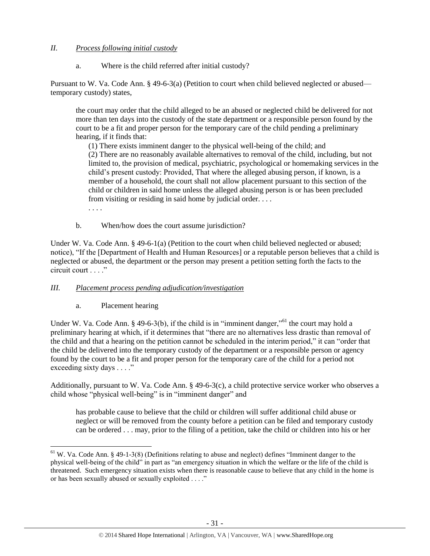## *II. Process following initial custody*

a. Where is the child referred after initial custody?

Pursuant to W. Va. Code Ann. § 49-6-3(a) (Petition to court when child believed neglected or abused temporary custody) states,

the court may order that the child alleged to be an abused or neglected child be delivered for not more than ten days into the custody of the state department or a responsible person found by the court to be a fit and proper person for the temporary care of the child pending a preliminary hearing, if it finds that:

(1) There exists imminent danger to the physical well-being of the child; and (2) There are no reasonably available alternatives to removal of the child, including, but not limited to, the provision of medical, psychiatric, psychological or homemaking services in the child's present custody: Provided, That where the alleged abusing person, if known, is a member of a household, the court shall not allow placement pursuant to this section of the child or children in said home unless the alleged abusing person is or has been precluded from visiting or residing in said home by judicial order. . . .

. . . .

 $\overline{\phantom{a}}$ 

b. When/how does the court assume jurisdiction?

Under W. Va. Code Ann. § 49-6-1(a) (Petition to the court when child believed neglected or abused; notice), "If the [Department of Health and Human Resources] or a reputable person believes that a child is neglected or abused, the department or the person may present a petition setting forth the facts to the circuit court . . . ."

# *III. Placement process pending adjudication/investigation*

a. Placement hearing

Under W. Va. Code Ann. § 49-6-3(b), if the child is in "imminent danger,"<sup>61</sup> the court may hold a preliminary hearing at which, if it determines that "there are no alternatives less drastic than removal of the child and that a hearing on the petition cannot be scheduled in the interim period," it can "order that the child be delivered into the temporary custody of the department or a responsible person or agency found by the court to be a fit and proper person for the temporary care of the child for a period not exceeding sixty days . . . ."

Additionally, pursuant to W. Va. Code Ann. § 49-6-3(c), a child protective service worker who observes a child whose "physical well-being" is in "imminent danger" and

has probable cause to believe that the child or children will suffer additional child abuse or neglect or will be removed from the county before a petition can be filed and temporary custody can be ordered . . . may, prior to the filing of a petition, take the child or children into his or her

 $61$  W. Va. Code Ann. § 49-1-3(8) (Definitions relating to abuse and neglect) defines "Imminent danger to the physical well-being of the child" in part as "an emergency situation in which the welfare or the life of the child is threatened. Such emergency situation exists when there is reasonable cause to believe that any child in the home is or has been sexually abused or sexually exploited . . . ."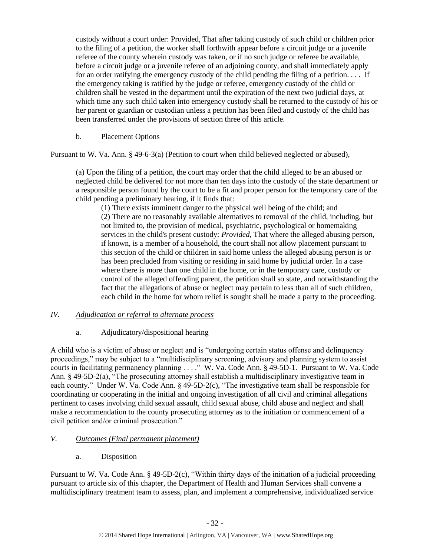custody without a court order: Provided, That after taking custody of such child or children prior to the filing of a petition, the worker shall forthwith appear before a circuit judge or a juvenile referee of the county wherein custody was taken, or if no such judge or referee be available, before a circuit judge or a juvenile referee of an adjoining county, and shall immediately apply for an order ratifying the emergency custody of the child pending the filing of a petition. . . . If the emergency taking is ratified by the judge or referee, emergency custody of the child or children shall be vested in the department until the expiration of the next two judicial days, at which time any such child taken into emergency custody shall be returned to the custody of his or her parent or guardian or custodian unless a petition has been filed and custody of the child has been transferred under the provisions of section three of this article.

## b. Placement Options

Pursuant to W. Va. Ann. § 49-6-3(a) (Petition to court when child believed neglected or abused),

(a) Upon the filing of a petition, the court may order that the child alleged to be an abused or neglected child be delivered for not more than ten days into the custody of the state department or a responsible person found by the court to be a fit and proper person for the temporary care of the child pending a preliminary hearing, if it finds that:

(1) There exists imminent danger to the physical well being of the child; and (2) There are no reasonably available alternatives to removal of the child, including, but not limited to, the provision of medical, psychiatric, psychological or homemaking services in the child's present custody: *Provided,* That where the alleged abusing person, if known, is a member of a household, the court shall not allow placement pursuant to this section of the child or children in said home unless the alleged abusing person is or has been precluded from visiting or residing in said home by judicial order. In a case where there is more than one child in the home, or in the temporary care, custody or control of the alleged offending parent, the petition shall so state, and notwithstanding the fact that the allegations of abuse or neglect may pertain to less than all of such children, each child in the home for whom relief is sought shall be made a party to the proceeding.

#### *IV. Adjudication or referral to alternate process*

# a. Adjudicatory/dispositional hearing

A child who is a victim of abuse or neglect and is "undergoing certain status offense and delinquency proceedings," may be subject to a "multidisciplinary screening, advisory and planning system to assist courts in facilitating permanency planning . . . ." W. Va. Code Ann. § 49-5D-1. Pursuant to W. Va. Code Ann. § 49-5D-2(a), "The prosecuting attorney shall establish a multidisciplinary investigative team in each county." Under W. Va. Code Ann. § 49-5D-2(c), "The investigative team shall be responsible for coordinating or cooperating in the initial and ongoing investigation of all civil and criminal allegations pertinent to cases involving child sexual assault, child sexual abuse, child abuse and neglect and shall make a recommendation to the county prosecuting attorney as to the initiation or commencement of a civil petition and/or criminal prosecution."

# *V. Outcomes (Final permanent placement)*

a. Disposition

Pursuant to W. Va. Code Ann. § 49-5D-2(c), "Within thirty days of the initiation of a judicial proceeding pursuant to article six of this chapter, the Department of Health and Human Services shall convene a multidisciplinary treatment team to assess, plan, and implement a comprehensive, individualized service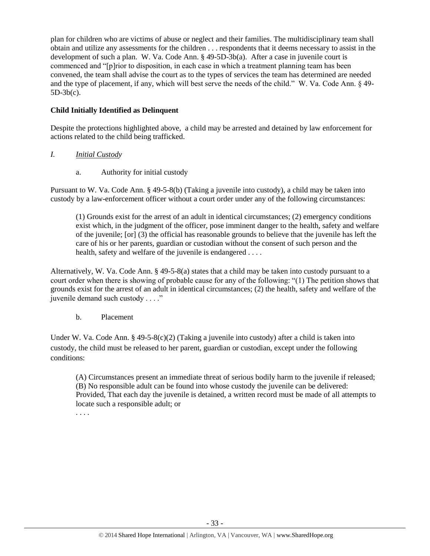plan for children who are victims of abuse or neglect and their families. The multidisciplinary team shall obtain and utilize any assessments for the children . . . respondents that it deems necessary to assist in the development of such a plan. W. Va. Code Ann. § 49-5D-3b(a). After a case in juvenile court is commenced and "[p]rior to disposition, in each case in which a treatment planning team has been convened, the team shall advise the court as to the types of services the team has determined are needed and the type of placement, if any, which will best serve the needs of the child." W. Va. Code Ann. § 49- 5D-3b(c).

# **Child Initially Identified as Delinquent**

Despite the protections highlighted above, a child may be arrested and detained by law enforcement for actions related to the child being trafficked.

# *I. Initial Custody*

a. Authority for initial custody

Pursuant to W. Va. Code Ann. § 49-5-8(b) (Taking a juvenile into custody), a child may be taken into custody by a law-enforcement officer without a court order under any of the following circumstances:

(1) Grounds exist for the arrest of an adult in identical circumstances; (2) emergency conditions exist which, in the judgment of the officer, pose imminent danger to the health, safety and welfare of the juvenile; [or] (3) the official has reasonable grounds to believe that the juvenile has left the care of his or her parents, guardian or custodian without the consent of such person and the health, safety and welfare of the juvenile is endangered ....

Alternatively, W. Va. Code Ann. § 49-5-8(a) states that a child may be taken into custody pursuant to a court order when there is showing of probable cause for any of the following: "(1) The petition shows that grounds exist for the arrest of an adult in identical circumstances; (2) the health, safety and welfare of the juvenile demand such custody . . . ."

# b. Placement

Under W. Va. Code Ann. § 49-5-8(c)(2) (Taking a juvenile into custody) after a child is taken into custody, the child must be released to her parent, guardian or custodian, except under the following conditions:

(A) Circumstances present an immediate threat of serious bodily harm to the juvenile if released; (B) No responsible adult can be found into whose custody the juvenile can be delivered: Provided, That each day the juvenile is detained, a written record must be made of all attempts to locate such a responsible adult; or

. . . .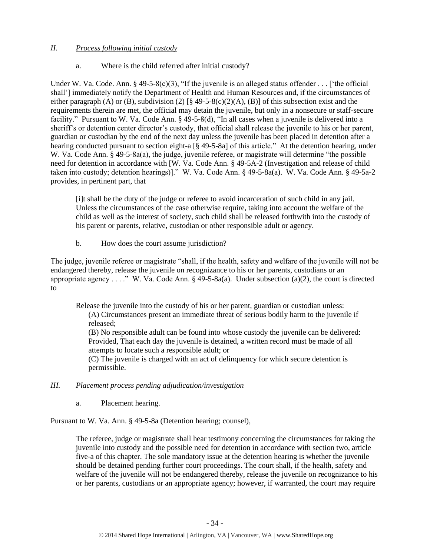# *II. Process following initial custody*

# a. Where is the child referred after initial custody?

Under W. Va. Code. Ann. § 49-5-8(c)(3), "If the juvenile is an alleged status offender . . . ['the official shall'] immediately notify the Department of Health and Human Resources and, if the circumstances of either paragraph (A) or (B), subdivision (2)  $\lceil \S 49 - 5 - 8(c)(2)(A)$ , (B) of this subsection exist and the requirements therein are met, the official may detain the juvenile, but only in a nonsecure or staff-secure facility." Pursuant to W. Va. Code Ann. § 49-5-8(d), "In all cases when a juvenile is delivered into a sheriff's or detention center director's custody, that official shall release the juvenile to his or her parent, guardian or custodian by the end of the next day unless the juvenile has been placed in detention after a hearing conducted pursuant to section eight-a [§ 49-5-8a] of this article." At the detention hearing, under W. Va. Code Ann. § 49-5-8a(a), the judge, juvenile referee, or magistrate will determine "the possible need for detention in accordance with [W. Va. Code Ann. § 49-5A-2 (Investigation and release of child taken into custody; detention hearings)]." W. Va. Code Ann. § 49-5-8a(a). W. Va. Code Ann. § 49-5a-2 provides, in pertinent part, that

[i]t shall be the duty of the judge or referee to avoid incarceration of such child in any jail. Unless the circumstances of the case otherwise require, taking into account the welfare of the child as well as the interest of society, such child shall be released forthwith into the custody of his parent or parents, relative, custodian or other responsible adult or agency.

b. How does the court assume jurisdiction?

The judge, juvenile referee or magistrate "shall, if the health, safety and welfare of the juvenile will not be endangered thereby, release the juvenile on recognizance to his or her parents, custodians or an appropriate agency . . . ." W. Va. Code Ann.  $\S$  49-5-8a(a). Under subsection (a)(2), the court is directed to

Release the juvenile into the custody of his or her parent, guardian or custodian unless: (A) Circumstances present an immediate threat of serious bodily harm to the juvenile if released; (B) No responsible adult can be found into whose custody the juvenile can be delivered:

Provided, That each day the juvenile is detained, a written record must be made of all attempts to locate such a responsible adult; or

(C) The juvenile is charged with an act of delinquency for which secure detention is permissible.

# *III. Placement process pending adjudication/investigation*

a. Placement hearing.

Pursuant to W. Va. Ann. § 49-5-8a (Detention hearing; counsel),

The referee, judge or magistrate shall hear testimony concerning the circumstances for taking the juvenile into custody and the possible need for detention in accordance with section two, article five-a of this chapter. The sole mandatory issue at the detention hearing is whether the juvenile should be detained pending further court proceedings. The court shall, if the health, safety and welfare of the juvenile will not be endangered thereby, release the juvenile on recognizance to his or her parents, custodians or an appropriate agency; however, if warranted, the court may require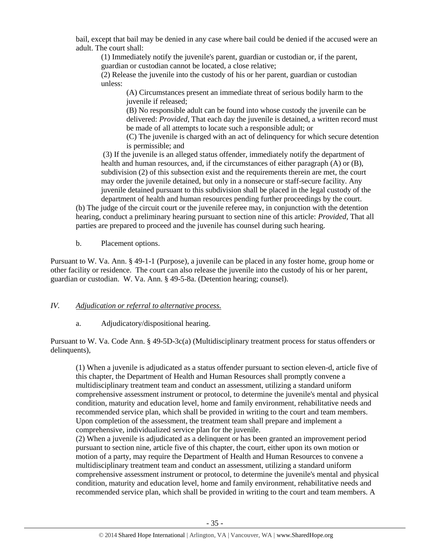bail, except that bail may be denied in any case where bail could be denied if the accused were an adult. The court shall:

(1) Immediately notify the juvenile's parent, guardian or custodian or, if the parent, guardian or custodian cannot be located, a close relative;

(2) Release the juvenile into the custody of his or her parent, guardian or custodian unless:

(A) Circumstances present an immediate threat of serious bodily harm to the juvenile if released;

(B) No responsible adult can be found into whose custody the juvenile can be delivered: *Provided,* That each day the juvenile is detained, a written record must be made of all attempts to locate such a responsible adult; or

(C) The juvenile is charged with an act of delinquency for which secure detention is permissible; and

(3) If the juvenile is an alleged status offender, immediately notify the department of health and human resources, and, if the circumstances of either paragraph (A) or (B), subdivision (2) of this subsection exist and the requirements therein are met, the court may order the juvenile detained, but only in a nonsecure or staff-secure facility. Any juvenile detained pursuant to this subdivision shall be placed in the legal custody of the department of health and human resources pending further proceedings by the court.

(b) The judge of the circuit court or the juvenile referee may, in conjunction with the detention hearing, conduct a preliminary hearing pursuant to section nine of this article: *Provided,* That all parties are prepared to proceed and the juvenile has counsel during such hearing.

b. Placement options.

Pursuant to W. Va. Ann. § 49-1-1 (Purpose), a juvenile can be placed in any foster home, group home or other facility or residence. The court can also release the juvenile into the custody of his or her parent, guardian or custodian. W. Va. Ann. § 49-5-8a. (Detention hearing; counsel).

### *IV. Adjudication or referral to alternative process.*

a. Adjudicatory/dispositional hearing.

Pursuant to W. Va. Code Ann. § 49-5D-3c(a) (Multidisciplinary treatment process for status offenders or delinquents),

(1) When a juvenile is adjudicated as a status offender pursuant to section eleven-d, article five of this chapter, the Department of Health and Human Resources shall promptly convene a multidisciplinary treatment team and conduct an assessment, utilizing a standard uniform comprehensive assessment instrument or protocol, to determine the juvenile's mental and physical condition, maturity and education level, home and family environment, rehabilitative needs and recommended service plan, which shall be provided in writing to the court and team members. Upon completion of the assessment, the treatment team shall prepare and implement a comprehensive, individualized service plan for the juvenile.

(2) When a juvenile is adjudicated as a delinquent or has been granted an improvement period pursuant to section nine, article five of this chapter, the court, either upon its own motion or motion of a party, may require the Department of Health and Human Resources to convene a multidisciplinary treatment team and conduct an assessment, utilizing a standard uniform comprehensive assessment instrument or protocol, to determine the juvenile's mental and physical condition, maturity and education level, home and family environment, rehabilitative needs and recommended service plan, which shall be provided in writing to the court and team members. A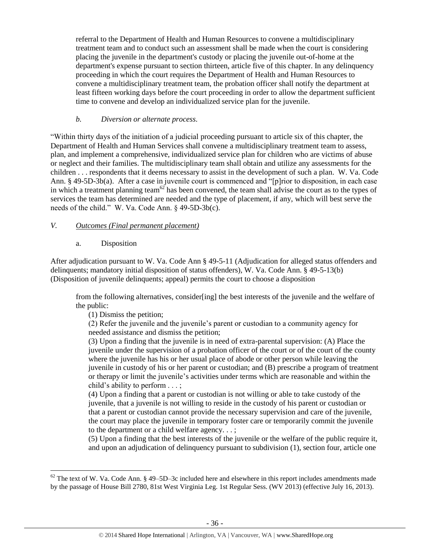referral to the Department of Health and Human Resources to convene a multidisciplinary treatment team and to conduct such an assessment shall be made when the court is considering placing the juvenile in the department's custody or placing the juvenile out-of-home at the department's expense pursuant to section thirteen, article five of this chapter. In any delinquency proceeding in which the court requires the Department of Health and Human Resources to convene a multidisciplinary treatment team, the probation officer shall notify the department at least fifteen working days before the court proceeding in order to allow the department sufficient time to convene and develop an individualized service plan for the juvenile.

## *b. Diversion or alternate process.*

"Within thirty days of the initiation of a judicial proceeding pursuant to article six of this chapter, the Department of Health and Human Services shall convene a multidisciplinary treatment team to assess, plan, and implement a comprehensive, individualized service plan for children who are victims of abuse or neglect and their families. The multidisciplinary team shall obtain and utilize any assessments for the children . . . respondents that it deems necessary to assist in the development of such a plan. W. Va. Code Ann. § 49-5D-3b(a). After a case in juvenile court is commenced and "[p]rior to disposition, in each case in which a treatment planning team $62$  has been convened, the team shall advise the court as to the types of services the team has determined are needed and the type of placement, if any, which will best serve the needs of the child." W. Va. Code Ann. § 49-5D-3b(c).

# *V. Outcomes (Final permanent placement)*

## a. Disposition

 $\overline{\phantom{a}}$ 

After adjudication pursuant to W. Va. Code Ann § 49-5-11 (Adjudication for alleged status offenders and delinquents; mandatory initial disposition of status offenders), W. Va. Code Ann. § 49-5-13(b) (Disposition of juvenile delinquents; appeal) permits the court to choose a disposition

from the following alternatives, consider[ing] the best interests of the juvenile and the welfare of the public:

(1) Dismiss the petition;

(2) Refer the juvenile and the juvenile's parent or custodian to a community agency for needed assistance and dismiss the petition;

(3) Upon a finding that the juvenile is in need of extra-parental supervision: (A) Place the juvenile under the supervision of a probation officer of the court or of the court of the county where the juvenile has his or her usual place of abode or other person while leaving the juvenile in custody of his or her parent or custodian; and (B) prescribe a program of treatment or therapy or limit the juvenile's activities under terms which are reasonable and within the child's ability to perform . . . ;

(4) Upon a finding that a parent or custodian is not willing or able to take custody of the juvenile, that a juvenile is not willing to reside in the custody of his parent or custodian or that a parent or custodian cannot provide the necessary supervision and care of the juvenile, the court may place the juvenile in temporary foster care or temporarily commit the juvenile to the department or a child welfare agency. . . ;

(5) Upon a finding that the best interests of the juvenile or the welfare of the public require it, and upon an adjudication of delinquency pursuant to subdivision (1), section four, article one

 $62$  The text of W. Va. Code Ann. § 49–5D–3c included here and elsewhere in this report includes amendments made by the passage of House Bill 2780, 81st West Virginia Leg. 1st Regular Sess. (WV 2013) (effective July 16, 2013).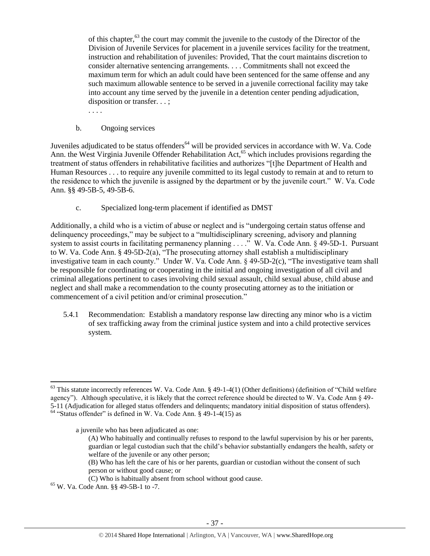of this chapter,<sup>63</sup> the court may commit the juvenile to the custody of the Director of the Division of Juvenile Services for placement in a juvenile services facility for the treatment, instruction and rehabilitation of juveniles: Provided, That the court maintains discretion to consider alternative sentencing arrangements. . . . Commitments shall not exceed the maximum term for which an adult could have been sentenced for the same offense and any such maximum allowable sentence to be served in a juvenile correctional facility may take into account any time served by the juvenile in a detention center pending adjudication, disposition or transfer. . . ;

. . . .

b. Ongoing services

Juveniles adjudicated to be status offenders<sup>64</sup> will be provided services in accordance with W. Va. Code Ann. the West Virginia Juvenile Offender Rehabilitation Act,<sup>65</sup> which includes provisions regarding the treatment of status offenders in rehabilitative facilities and authorizes "[t]he Department of Health and Human Resources . . . to require any juvenile committed to its legal custody to remain at and to return to the residence to which the juvenile is assigned by the department or by the juvenile court." W. Va. Code Ann. §§ 49-5B-5, 49-5B-6.

c. Specialized long-term placement if identified as DMST

Additionally, a child who is a victim of abuse or neglect and is "undergoing certain status offense and delinquency proceedings," may be subject to a "multidisciplinary screening, advisory and planning system to assist courts in facilitating permanency planning . . . ." W. Va. Code Ann. § 49-5D-1. Pursuant to W. Va. Code Ann. § 49-5D-2(a), "The prosecuting attorney shall establish a multidisciplinary investigative team in each county." Under W. Va. Code Ann. § 49-5D-2(c), "The investigative team shall be responsible for coordinating or cooperating in the initial and ongoing investigation of all civil and criminal allegations pertinent to cases involving child sexual assault, child sexual abuse, child abuse and neglect and shall make a recommendation to the county prosecuting attorney as to the initiation or commencement of a civil petition and/or criminal prosecution."

5.4.1 Recommendation: Establish a mandatory response law directing any minor who is a victim of sex trafficking away from the criminal justice system and into a child protective services system.

a juvenile who has been adjudicated as one:

- (A) Who habitually and continually refuses to respond to the lawful supervision by his or her parents, guardian or legal custodian such that the child's behavior substantially endangers the health, safety or welfare of the juvenile or any other person;
- (B) Who has left the care of his or her parents, guardian or custodian without the consent of such person or without good cause; or
- (C) Who is habitually absent from school without good cause.

 $\overline{a}$ 

 $63$  This statute incorrectly references W. Va. Code Ann. § 49-1-4(1) (Other definitions) (definition of "Child welfare agency"). Although speculative, it is likely that the correct reference should be directed to W. Va. Code Ann § 49- 5-11 (Adjudication for alleged status offenders and delinquents; mandatory initial disposition of status offenders).  $64$  "Status offender" is defined in W. Va. Code Ann. § 49-1-4(15) as

<sup>65</sup> W. Va. Code Ann. §§ 49-5B-1 to -7.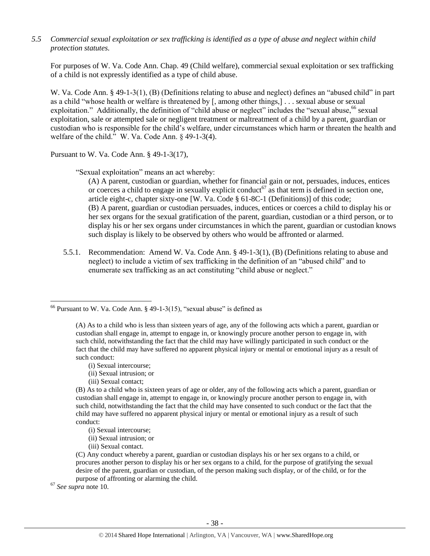*5.5 Commercial sexual exploitation or sex trafficking is identified as a type of abuse and neglect within child protection statutes.*

For purposes of W. Va. Code Ann. Chap. 49 (Child welfare), commercial sexual exploitation or sex trafficking of a child is not expressly identified as a type of child abuse.

W. Va. Code Ann. § 49-1-3(1), (B) (Definitions relating to abuse and neglect) defines an "abused child" in part as a child "whose health or welfare is threatened by [, among other things,] . . . sexual abuse or sexual exploitation." Additionally, the definition of "child abuse or neglect" includes the "sexual abuse, <sup>66</sup> sexual exploitation, sale or attempted sale or negligent treatment or maltreatment of a child by a parent, guardian or custodian who is responsible for the child's welfare, under circumstances which harm or threaten the health and welfare of the child." W. Va. Code Ann. § 49-1-3(4).

Pursuant to W. Va. Code Ann. § 49-1-3(17),

"Sexual exploitation" means an act whereby:

(A) A parent, custodian or guardian, whether for financial gain or not, persuades, induces, entices or coerces a child to engage in sexually explicit conduct<sup>67</sup> as that term is defined in section one, article eight-c, chapter sixty-one [W. Va. Code § 61-8C-1 (Definitions)] of this code; (B) A parent, guardian or custodian persuades, induces, entices or coerces a child to display his or her sex organs for the sexual gratification of the parent, guardian, custodian or a third person, or to display his or her sex organs under circumstances in which the parent, guardian or custodian knows such display is likely to be observed by others who would be affronted or alarmed.

5.5.1. Recommendation: Amend W. Va. Code Ann. § 49-1-3(1), (B) (Definitions relating to abuse and neglect) to include a victim of sex trafficking in the definition of an "abused child" and to enumerate sex trafficking as an act constituting "child abuse or neglect."

- (i) Sexual intercourse;
- (ii) Sexual intrusion; or
- (iii) Sexual contact;

(B) As to a child who is sixteen years of age or older, any of the following acts which a parent, guardian or custodian shall engage in, attempt to engage in, or knowingly procure another person to engage in, with such child, notwithstanding the fact that the child may have consented to such conduct or the fact that the child may have suffered no apparent physical injury or mental or emotional injury as a result of such conduct:

(i) Sexual intercourse;

(ii) Sexual intrusion; or

(iii) Sexual contact.

(C) Any conduct whereby a parent, guardian or custodian displays his or her sex organs to a child, or procures another person to display his or her sex organs to a child, for the purpose of gratifying the sexual desire of the parent, guardian or custodian, of the person making such display, or of the child, or for the purpose of affronting or alarming the child.

<sup>67</sup> *See supra* note [10.](#page-3-2) 

 $66$  Pursuant to W. Va. Code Ann. § 49-1-3(15), "sexual abuse" is defined as

<sup>(</sup>A) As to a child who is less than sixteen years of age, any of the following acts which a parent, guardian or custodian shall engage in, attempt to engage in, or knowingly procure another person to engage in, with such child, notwithstanding the fact that the child may have willingly participated in such conduct or the fact that the child may have suffered no apparent physical injury or mental or emotional injury as a result of such conduct: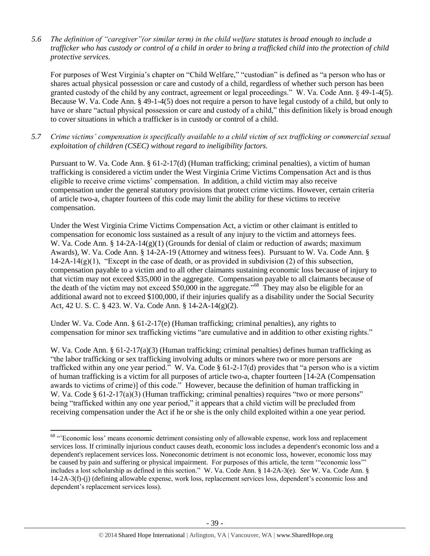*5.6 The definition of "caregiver"(or similar term) in the child welfare statutes is broad enough to include a trafficker who has custody or control of a child in order to bring a trafficked child into the protection of child protective services.*

For purposes of West Virginia's chapter on "Child Welfare," "custodian" is defined as "a person who has or shares actual physical possession or care and custody of a child, regardless of whether such person has been granted custody of the child by any contract, agreement or legal proceedings." W. Va. Code Ann. § 49-1-4(5). Because W. Va. Code Ann. § 49-1-4(5) does not require a person to have legal custody of a child, but only to have or share "actual physical possession or care and custody of a child," this definition likely is broad enough to cover situations in which a trafficker is in custody or control of a child.

*5.7 Crime victims' compensation is specifically available to a child victim of sex trafficking or commercial sexual exploitation of children (CSEC) without regard to ineligibility factors.*

Pursuant to W. Va. Code Ann. § 61-2-17(d) (Human trafficking; criminal penalties), a victim of human trafficking is considered a victim under the West Virginia Crime Victims Compensation Act and is thus eligible to receive crime victims' compensation. In addition, a child victim may also receive compensation under the general statutory provisions that protect crime victims. However, certain criteria of article two-a, chapter fourteen of this code may limit the ability for these victims to receive compensation.

Under the West Virginia Crime Victims Compensation Act, a victim or other claimant is entitled to compensation for economic loss sustained as a result of any injury to the victim and attorneys fees. W. Va. Code Ann. § 14-2A-14(g)(1) (Grounds for denial of claim or reduction of awards; maximum Awards), W. Va. Code Ann. § 14-2A-19 (Attorney and witness fees). Pursuant to W. Va. Code Ann. §  $14-2A-14(g)(1)$ , "Except in the case of death, or as provided in subdivision (2) of this subsection, compensation payable to a victim and to all other claimants sustaining economic loss because of injury to that victim may not exceed \$35,000 in the aggregate. Compensation payable to all claimants because of the death of the victim may not exceed \$50,000 in the aggregate.<sup>"68</sup> They may also be eligible for an additional award not to exceed \$100,000, if their injuries qualify as a disability under the Social Security Act, 42 U. S. C. § 423. W. Va. Code Ann. § 14-2A-14(g)(2).

Under W. Va. Code Ann. § 61-2-17(e) (Human trafficking; criminal penalties), any rights to compensation for minor sex trafficking victims "are cumulative and in addition to other existing rights."

W. Va. Code Ann. § 61-2-17(a)(3) (Human trafficking; criminal penalties) defines human trafficking as "the labor trafficking or sex trafficking involving adults or minors where two or more persons are trafficked within any one year period." W. Va. Code  $\S 61-2-17(d)$  provides that "a person who is a victim of human trafficking is a victim for all purposes of article two-a, chapter fourteen [14-2A (Compensation awards to victims of crime)] of this code." However, because the definition of human trafficking in W. Va. Code § 61-2-17(a)(3) (Human trafficking; criminal penalties) requires "two or more persons" being "trafficked within any one year period," it appears that a child victim will be precluded from receiving compensation under the Act if he or she is the only child exploited within a one year period.

l

<sup>&</sup>lt;sup>68</sup> "Economic loss' means economic detriment consisting only of allowable expense, work loss and replacement services loss. If criminally injurious conduct causes death, economic loss includes a dependent's economic loss and a dependent's replacement services loss. Noneconomic detriment is not economic loss, however, economic loss may be caused by pain and suffering or physical impairment. For purposes of this article, the term '"economic loss'" includes a lost scholarship as defined in this section." W. Va. Code Ann. § 14-2A-3(e). *See* W. Va. Code Ann. § 14-2A-3(f)-(j) (defining allowable expense, work loss, replacement services loss, dependent's economic loss and dependent's replacement services loss).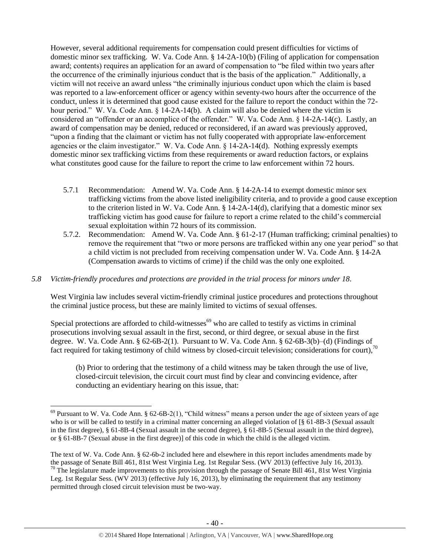However, several additional requirements for compensation could present difficulties for victims of domestic minor sex trafficking. W. Va. Code Ann. § 14-2A-10(b) (Filing of application for compensation award; contents) requires an application for an award of compensation to "be filed within two years after the occurrence of the criminally injurious conduct that is the basis of the application." Additionally, a victim will not receive an award unless "the criminally injurious conduct upon which the claim is based was reported to a law-enforcement officer or agency within seventy-two hours after the occurrence of the conduct, unless it is determined that good cause existed for the failure to report the conduct within the 72 hour period." W. Va. Code Ann. § 14-2A-14(b). A claim will also be denied where the victim is considered an "offender or an accomplice of the offender." W. Va. Code Ann. § 14-2A-14(c). Lastly, an award of compensation may be denied, reduced or reconsidered, if an award was previously approved, "upon a finding that the claimant or victim has not fully cooperated with appropriate law-enforcement agencies or the claim investigator." W. Va. Code Ann. § 14-2A-14(d). Nothing expressly exempts domestic minor sex trafficking victims from these requirements or award reduction factors, or explains what constitutes good cause for the failure to report the crime to law enforcement within 72 hours.

- 5.7.1 Recommendation: Amend W. Va. Code Ann. § 14-2A-14 to exempt domestic minor sex trafficking victims from the above listed ineligibility criteria, and to provide a good cause exception to the criterion listed in W. Va. Code Ann. § 14-2A-14(d), clarifying that a domestic minor sex trafficking victim has good cause for failure to report a crime related to the child's commercial sexual exploitation within 72 hours of its commission.
- 5.7.2. Recommendation: Amend W. Va. Code Ann. § 61-2-17 (Human trafficking; criminal penalties) to remove the requirement that "two or more persons are trafficked within any one year period" so that a child victim is not precluded from receiving compensation under W. Va. Code Ann. § 14-2A (Compensation awards to victims of crime) if the child was the only one exploited.

### *5.8 Victim-friendly procedures and protections are provided in the trial process for minors under 18.*

West Virginia law includes several victim-friendly criminal justice procedures and protections throughout the criminal justice process, but these are mainly limited to victims of sexual offenses.

Special protections are afforded to child-witnesses<sup>69</sup> who are called to testify as victims in criminal prosecutions involving sexual assault in the first, second, or third degree, or sexual abuse in the first degree. W. Va. Code Ann. § 62-6B-2(1). Pursuant to W. Va. Code Ann. § 62-6B-3(b)–(d) (Findings of fact required for taking testimony of child witness by closed-circuit television; considerations for court),<sup>70</sup>

(b) Prior to ordering that the testimony of a child witness may be taken through the use of live, closed-circuit television, the circuit court must find by clear and convincing evidence, after conducting an evidentiary hearing on this issue, that:

l  $69$  Pursuant to W. Va. Code Ann. § 62-6B-2(1), "Child witness" means a person under the age of sixteen years of age who is or will be called to testify in a criminal matter concerning an alleged violation of [§ 61-8B-3 (Sexual assault in the first degree), § 61-8B-4 (Sexual assault in the second degree), § 61-8B-5 (Sexual assault in the third degree), or § 61-8B-7 (Sexual abuse in the first degree)] of this code in which the child is the alleged victim.

The text of W. Va. Code Ann. § 62-6b-2 included here and elsewhere in this report includes amendments made by the passage of Senate Bill 461, 81st West Virginia Leg. 1st Regular Sess. (WV 2013) (effective July 16, 2013).  $70$  The legislature made improvements to this provision through the passage of Senate Bill 461, 81st West Virginia Leg. 1st Regular Sess. (WV 2013) (effective July 16, 2013), by eliminating the requirement that any testimony permitted through closed circuit television must be two-way.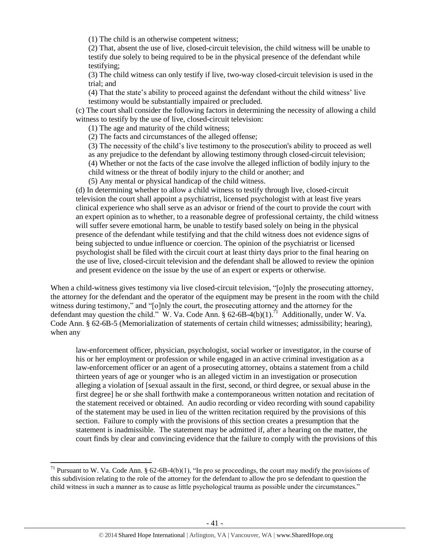(1) The child is an otherwise competent witness;

(2) That, absent the use of live, closed-circuit television, the child witness will be unable to testify due solely to being required to be in the physical presence of the defendant while testifying;

(3) The child witness can only testify if live, two-way closed-circuit television is used in the trial; and

(4) That the state's ability to proceed against the defendant without the child witness' live testimony would be substantially impaired or precluded.

(c) The court shall consider the following factors in determining the necessity of allowing a child witness to testify by the use of live, closed-circuit television:

(1) The age and maturity of the child witness;

(2) The facts and circumstances of the alleged offense;

(3) The necessity of the child's live testimony to the prosecution's ability to proceed as well as any prejudice to the defendant by allowing testimony through closed-circuit television; (4) Whether or not the facts of the case involve the alleged infliction of bodily injury to the

child witness or the threat of bodily injury to the child or another; and

(5) Any mental or physical handicap of the child witness.

(d) In determining whether to allow a child witness to testify through live, closed-circuit television the court shall appoint a psychiatrist, licensed psychologist with at least five years clinical experience who shall serve as an advisor or friend of the court to provide the court with an expert opinion as to whether, to a reasonable degree of professional certainty, the child witness will suffer severe emotional harm, be unable to testify based solely on being in the physical presence of the defendant while testifying and that the child witness does not evidence signs of being subjected to undue influence or coercion. The opinion of the psychiatrist or licensed psychologist shall be filed with the circuit court at least thirty days prior to the final hearing on the use of live, closed-circuit television and the defendant shall be allowed to review the opinion and present evidence on the issue by the use of an expert or experts or otherwise.

When a child-witness gives testimony via live closed-circuit television, "[o]nly the prosecuting attorney, the attorney for the defendant and the operator of the equipment may be present in the room with the child witness during testimony," and "[o]nly the court, the prosecuting attorney and the attorney for the defendant may question the child." W. Va. Code Ann. § 62-6B-4(b)(1).<sup>71</sup> Additionally, under W. Va. Code Ann. § 62-6B-5 (Memorialization of statements of certain child witnesses; admissibility; hearing), when any

law-enforcement officer, physician, psychologist, social worker or investigator, in the course of his or her employment or profession or while engaged in an active criminal investigation as a law-enforcement officer or an agent of a prosecuting attorney, obtains a statement from a child thirteen years of age or younger who is an alleged victim in an investigation or prosecution alleging a violation of [sexual assault in the first, second, or third degree, or sexual abuse in the first degree] he or she shall forthwith make a contemporaneous written notation and recitation of the statement received or obtained. An audio recording or video recording with sound capability of the statement may be used in lieu of the written recitation required by the provisions of this section. Failure to comply with the provisions of this section creates a presumption that the statement is inadmissible. The statement may be admitted if, after a hearing on the matter, the court finds by clear and convincing evidence that the failure to comply with the provisions of this

<sup>&</sup>lt;sup>71</sup> Pursuant to W. Va. Code Ann. § 62-6B-4(b)(1), "In pro se proceedings, the court may modify the provisions of this subdivision relating to the role of the attorney for the defendant to allow the pro se defendant to question the child witness in such a manner as to cause as little psychological trauma as possible under the circumstances."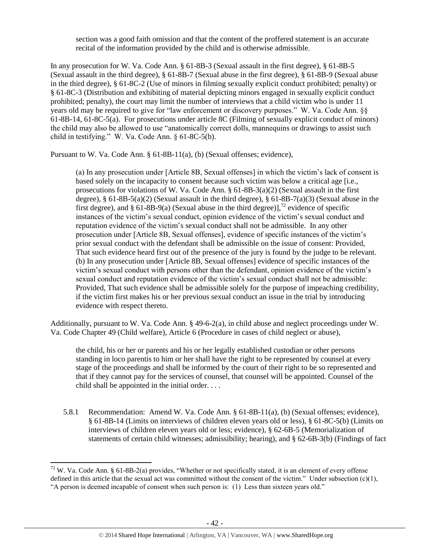section was a good faith omission and that the content of the proffered statement is an accurate recital of the information provided by the child and is otherwise admissible.

In any prosecution for W. Va. Code Ann. § 61-8B-3 (Sexual assault in the first degree), § 61-8B-5 (Sexual assault in the third degree), § 61-8B-7 (Sexual abuse in the first degree), § 61-8B-9 (Sexual abuse in the third degree), § 61-8C-2 (Use of minors in filming sexually explicit conduct prohibited; penalty) or § 61-8C-3 (Distribution and exhibiting of material depicting minors engaged in sexually explicit conduct prohibited; penalty), the court may limit the number of interviews that a child victim who is under 11 years old may be required to give for "law enforcement or discovery purposes." W. Va. Code Ann. §§ 61-8B-14, 61-8C-5(a). For prosecutions under article 8C (Filming of sexually explicit conduct of minors) the child may also be allowed to use "anatomically correct dolls, mannequins or drawings to assist such child in testifying." W. Va. Code Ann. § 61-8C-5(b).

Pursuant to W. Va. Code Ann. § 61-8B-11(a), (b) (Sexual offenses; evidence),

(a) In any prosecution under [Article 8B, Sexual offenses] in which the victim's lack of consent is based solely on the incapacity to consent because such victim was below a critical age [i.e., prosecutions for violations of W. Va. Code Ann.  $\S$  61-8B-3(a)(2) (Sexual assault in the first degree),  $\S 61-8B-5(a)(2)$  (Sexual assault in the third degree),  $\S 61-8B-7(a)(3)$  (Sexual abuse in the first degree), and § 61-8B-9(a) (Sexual abuse in the third degree)],<sup>72</sup> evidence of specific instances of the victim's sexual conduct, opinion evidence of the victim's sexual conduct and reputation evidence of the victim's sexual conduct shall not be admissible. In any other prosecution under [Article 8B, Sexual offenses], evidence of specific instances of the victim's prior sexual conduct with the defendant shall be admissible on the issue of consent: Provided, That such evidence heard first out of the presence of the jury is found by the judge to be relevant. (b) In any prosecution under [Article 8B, Sexual offenses] evidence of specific instances of the victim's sexual conduct with persons other than the defendant, opinion evidence of the victim's sexual conduct and reputation evidence of the victim's sexual conduct shall not be admissible: Provided, That such evidence shall be admissible solely for the purpose of impeaching credibility, if the victim first makes his or her previous sexual conduct an issue in the trial by introducing evidence with respect thereto.

Additionally, pursuant to W. Va. Code Ann. § 49-6-2(a), in child abuse and neglect proceedings under W. Va. Code Chapter 49 (Child welfare), Article 6 (Procedure in cases of child neglect or abuse),

the child, his or her or parents and his or her legally established custodian or other persons standing in loco parentis to him or her shall have the right to be represented by counsel at every stage of the proceedings and shall be informed by the court of their right to be so represented and that if they cannot pay for the services of counsel, that counsel will be appointed. Counsel of the child shall be appointed in the initial order. . . .

5.8.1 Recommendation: Amend W. Va. Code Ann. § 61-8B-11(a), (b) (Sexual offenses; evidence), § 61-8B-14 (Limits on interviews of children eleven years old or less), § 61-8C-5(b) (Limits on interviews of children eleven years old or less; evidence), § 62-6B-5 (Memorialization of statements of certain child witnesses; admissibility; hearing), and § 62-6B-3(b) (Findings of fact

<sup>72</sup> W. Va. Code Ann. § 61-8B-2(a) provides, "Whether or not specifically stated, it is an element of every offense defined in this article that the sexual act was committed without the consent of the victim." Under subsection (c)(1), "A person is deemed incapable of consent when such person is: (1) Less than sixteen years old."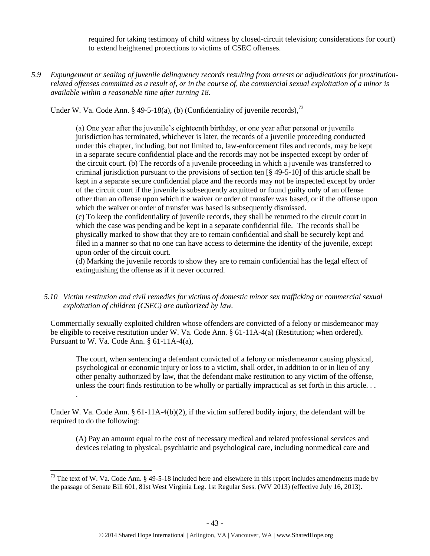required for taking testimony of child witness by closed-circuit television; considerations for court) to extend heightened protections to victims of CSEC offenses.

*5.9 Expungement or sealing of juvenile delinquency records resulting from arrests or adjudications for prostitutionrelated offenses committed as a result of, or in the course of, the commercial sexual exploitation of a minor is available within a reasonable time after turning 18.*

Under W. Va. Code Ann. § 49-5-18(a), (b) (Confidentiality of juvenile records),  $^{73}$ 

(a) One year after the juvenile's eighteenth birthday, or one year after personal or juvenile jurisdiction has terminated, whichever is later, the records of a juvenile proceeding conducted under this chapter, including, but not limited to, law-enforcement files and records, may be kept in a separate secure confidential place and the records may not be inspected except by order of the circuit court. (b) The records of a juvenile proceeding in which a juvenile was transferred to criminal jurisdiction pursuant to the provisions of section ten  $\lceil \frac{8}{9}49 - 5 - 10 \rceil$  of this article shall be kept in a separate secure confidential place and the records may not be inspected except by order of the circuit court if the juvenile is subsequently acquitted or found guilty only of an offense other than an offense upon which the waiver or order of transfer was based, or if the offense upon which the waiver or order of transfer was based is subsequently dismissed.

(c) To keep the confidentiality of juvenile records, they shall be returned to the circuit court in which the case was pending and be kept in a separate confidential file. The records shall be physically marked to show that they are to remain confidential and shall be securely kept and filed in a manner so that no one can have access to determine the identity of the juvenile, except upon order of the circuit court.

(d) Marking the juvenile records to show they are to remain confidential has the legal effect of extinguishing the offense as if it never occurred.

*5.10 Victim restitution and civil remedies for victims of domestic minor sex trafficking or commercial sexual exploitation of children (CSEC) are authorized by law.* 

Commercially sexually exploited children whose offenders are convicted of a felony or misdemeanor may be eligible to receive restitution under W. Va. Code Ann. § 61-11A-4(a) (Restitution; when ordered). Pursuant to W. Va. Code Ann. § 61-11A-4(a),

The court, when sentencing a defendant convicted of a felony or misdemeanor causing physical, psychological or economic injury or loss to a victim, shall order, in addition to or in lieu of any other penalty authorized by law, that the defendant make restitution to any victim of the offense, unless the court finds restitution to be wholly or partially impractical as set forth in this article. . .

Under W. Va. Code Ann. § 61-11A-4(b)(2), if the victim suffered bodily injury, the defendant will be required to do the following:

.

 $\overline{\phantom{a}}$ 

(A) Pay an amount equal to the cost of necessary medical and related professional services and devices relating to physical, psychiatric and psychological care, including nonmedical care and

<sup>&</sup>lt;sup>73</sup> The text of W. Va. Code Ann. § 49-5-18 included here and elsewhere in this report includes amendments made by the passage of Senate Bill 601, 81st West Virginia Leg. 1st Regular Sess. (WV 2013) (effective July 16, 2013).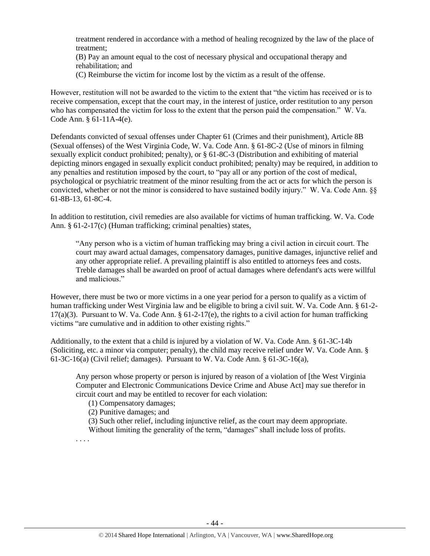treatment rendered in accordance with a method of healing recognized by the law of the place of treatment;

(B) Pay an amount equal to the cost of necessary physical and occupational therapy and rehabilitation; and

(C) Reimburse the victim for income lost by the victim as a result of the offense.

However, restitution will not be awarded to the victim to the extent that "the victim has received or is to receive compensation, except that the court may, in the interest of justice, order restitution to any person who has compensated the victim for loss to the extent that the person paid the compensation." W. Va. Code Ann. § 61-11A-4(e).

Defendants convicted of sexual offenses under Chapter 61 (Crimes and their punishment), Article 8B (Sexual offenses) of the West Virginia Code, W. Va. Code Ann. § 61-8C-2 (Use of minors in filming sexually explicit conduct prohibited; penalty), or § 61-8C-3 (Distribution and exhibiting of material depicting minors engaged in sexually explicit conduct prohibited; penalty) may be required, in addition to any penalties and restitution imposed by the court, to "pay all or any portion of the cost of medical, psychological or psychiatric treatment of the minor resulting from the act or acts for which the person is convicted, whether or not the minor is considered to have sustained bodily injury." W. Va. Code Ann. §§ 61-8B-13, 61-8C-4.

In addition to restitution, civil remedies are also available for victims of human trafficking. W. Va. Code Ann. § 61-2-17(c) (Human trafficking; criminal penalties) states,

"Any person who is a victim of human trafficking may bring a civil action in circuit court. The court may award actual damages, compensatory damages, punitive damages, injunctive relief and any other appropriate relief. A prevailing plaintiff is also entitled to attorneys fees and costs. Treble damages shall be awarded on proof of actual damages where defendant's acts were willful and malicious."

However, there must be two or more victims in a one year period for a person to qualify as a victim of human trafficking under West Virginia law and be eligible to bring a civil suit. W. Va. Code Ann. § 61-2-  $17(a)(3)$ . Pursuant to W. Va. Code Ann. § 61-2-17(e), the rights to a civil action for human trafficking victims "are cumulative and in addition to other existing rights."

Additionally, to the extent that a child is injured by a violation of W. Va. Code Ann. § 61-3C-14b (Soliciting, etc. a minor via computer; penalty), the child may receive relief under W. Va. Code Ann. § 61-3C-16(a) (Civil relief; damages). Pursuant to W. Va. Code Ann. § 61-3C-16(a),

Any person whose property or person is injured by reason of a violation of [the West Virginia Computer and Electronic Communications Device Crime and Abuse Act] may sue therefor in circuit court and may be entitled to recover for each violation:

(1) Compensatory damages;

(2) Punitive damages; and

(3) Such other relief, including injunctive relief, as the court may deem appropriate. Without limiting the generality of the term, "damages" shall include loss of profits.

. . . .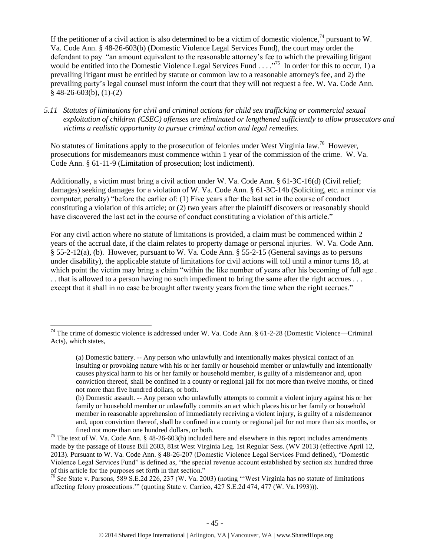If the petitioner of a civil action is also determined to be a victim of domestic violence,<sup>74</sup> pursuant to W. Va. Code Ann. § 48-26-603(b) (Domestic Violence Legal Services Fund), the court may order the defendant to pay "an amount equivalent to the reasonable attorney's fee to which the prevailing litigant would be entitled into the Domestic Violence Legal Services Fund . . . .<sup>775</sup> In order for this to occur, 1) a prevailing litigant must be entitled by statute or common law to a reasonable attorney's fee, and 2) the prevailing party's legal counsel must inform the court that they will not request a fee. W. Va. Code Ann.  $§$  48-26-603(b), (1)-(2)

#### *5.11 Statutes of limitations for civil and criminal actions for child sex trafficking or commercial sexual exploitation of children (CSEC) offenses are eliminated or lengthened sufficiently to allow prosecutors and victims a realistic opportunity to pursue criminal action and legal remedies.*

No statutes of limitations apply to the prosecution of felonies under West Virginia law.<sup>76</sup> However, prosecutions for misdemeanors must commence within 1 year of the commission of the crime. W. Va. Code Ann. § 61-11-9 (Limitation of prosecution; lost indictment).

Additionally, a victim must bring a civil action under W. Va. Code Ann. § 61-3C-16(d) (Civil relief; damages) seeking damages for a violation of W. Va. Code Ann. § 61-3C-14b (Soliciting, etc. a minor via computer; penalty) "before the earlier of: (1) Five years after the last act in the course of conduct constituting a violation of this article; or (2) two years after the plaintiff discovers or reasonably should have discovered the last act in the course of conduct constituting a violation of this article."

For any civil action where no statute of limitations is provided, a claim must be commenced within 2 years of the accrual date, if the claim relates to property damage or personal injuries. W. Va. Code Ann. § 55-2-12(a), (b). However, pursuant to W. Va. Code Ann. § 55-2-15 (General savings as to persons under disability), the applicable statute of limitations for civil actions will toll until a minor turns 18, at which point the victim may bring a claim "within the like number of years after his becoming of full age. . . that is allowed to a person having no such impediment to bring the same after the right accrues . . . except that it shall in no case be brought after twenty years from the time when the right accrues."

 $\overline{\phantom{a}}$ 

<sup>76</sup> *See* State v. Parsons, 589 S.E.2d 226, 237 (W. Va. 2003) (noting "'West Virginia has no statute of limitations affecting felony prosecutions.'" (quoting State v. Carrico, 427 S.E.2d 474, 477 (W. Va.1993))).

<sup>&</sup>lt;sup>74</sup> The crime of domestic violence is addressed under W. Va. Code Ann.  $\S 61-2-28$  (Domestic Violence—Criminal Acts), which states,

<sup>(</sup>a) Domestic battery. -- Any person who unlawfully and intentionally makes physical contact of an insulting or provoking nature with his or her family or household member or unlawfully and intentionally causes physical harm to his or her family or household member, is guilty of a misdemeanor and, upon conviction thereof, shall be confined in a county or regional jail for not more than twelve months, or fined not more than five hundred dollars, or both.

<sup>(</sup>b) Domestic assault. -- Any person who unlawfully attempts to commit a violent injury against his or her family or household member or unlawfully commits an act which places his or her family or household member in reasonable apprehension of immediately receiving a violent injury, is guilty of a misdemeanor and, upon conviction thereof, shall be confined in a county or regional jail for not more than six months, or fined not more than one hundred dollars, or both.

<sup>&</sup>lt;sup>75</sup> The text of W. Va. Code Ann. § 48-26-603(b) included here and elsewhere in this report includes amendments made by the passage of House Bill 2603, 81st West Virginia Leg. 1st Regular Sess. (WV 2013) (effective April 12, 2013). Pursuant to W. Va. Code Ann. § 48-26-207 (Domestic Violence Legal Services Fund defined), "Domestic Violence Legal Services Fund" is defined as, "the special revenue account established by section six hundred three of this article for the purposes set forth in that section."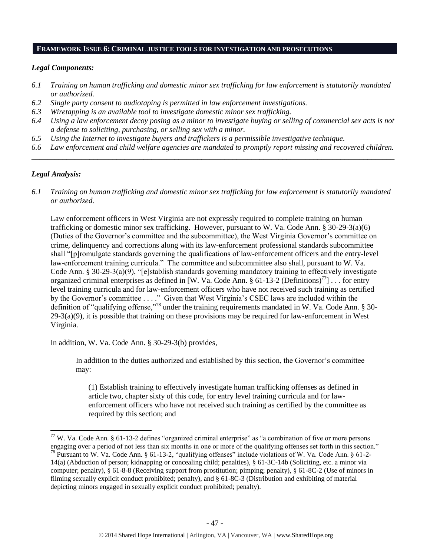#### **FRAMEWORK ISSUE 6: CRIMINAL JUSTICE TOOLS FOR INVESTIGATION AND PROSECUTIONS**

#### *Legal Components:*

- *6.1 Training on human trafficking and domestic minor sex trafficking for law enforcement is statutorily mandated or authorized.*
- *6.2 Single party consent to audiotaping is permitted in law enforcement investigations.*
- *6.3 Wiretapping is an available tool to investigate domestic minor sex trafficking.*
- *6.4 Using a law enforcement decoy posing as a minor to investigate buying or selling of commercial sex acts is not a defense to soliciting, purchasing, or selling sex with a minor.*
- *6.5 Using the Internet to investigate buyers and traffickers is a permissible investigative technique.*
- *6.6 Law enforcement and child welfare agencies are mandated to promptly report missing and recovered children. \_\_\_\_\_\_\_\_\_\_\_\_\_\_\_\_\_\_\_\_\_\_\_\_\_\_\_\_\_\_\_\_\_\_\_\_\_\_\_\_\_\_\_\_\_\_\_\_\_\_\_\_\_\_\_\_\_\_\_\_\_\_\_\_\_\_\_\_\_\_\_\_\_\_\_\_\_\_\_\_\_\_\_\_\_\_\_\_\_\_\_\_\_\_*

#### *Legal Analysis:*

l

*6.1 Training on human trafficking and domestic minor sex trafficking for law enforcement is statutorily mandated or authorized.*

Law enforcement officers in West Virginia are not expressly required to complete training on human trafficking or domestic minor sex trafficking. However, pursuant to W. Va. Code Ann. § 30-29-3(a)(6) (Duties of the Governor's committee and the subcommittee), the West Virginia Governor's committee on crime, delinquency and corrections along with its law-enforcement professional standards subcommittee shall "[p]romulgate standards governing the qualifications of law-enforcement officers and the entry-level law-enforcement training curricula." The committee and subcommittee also shall, pursuant to W. Va. Code Ann. §  $30-29-3(a)(9)$ , "[e]stablish standards governing mandatory training to effectively investigate organized criminal enterprises as defined in [W. Va. Code Ann. § 61-13-2 (Definitions)<sup>77</sup>] . . . for entry level training curricula and for law-enforcement officers who have not received such training as certified by the Governor's committee . . . ." Given that West Virginia's CSEC laws are included within the definition of "qualifying offense,"<sup>78</sup> under the training requirements mandated in W. Va. Code Ann. § 30-  $29-3(a)(9)$ , it is possible that training on these provisions may be required for law-enforcement in West Virginia.

In addition, W. Va. Code Ann. § 30-29-3(b) provides,

In addition to the duties authorized and established by this section, the Governor's committee may:

(1) Establish training to effectively investigate human trafficking offenses as defined in article two, chapter sixty of this code, for entry level training curricula and for lawenforcement officers who have not received such training as certified by the committee as required by this section; and

 $77$  W. Va. Code Ann. § 61-13-2 defines "organized criminal enterprise" as "a combination of five or more persons engaging over a period of not less than six months in one or more of the qualifying offenses set forth in this section." <sup>78</sup> Pursuant to W. Va. Code Ann. § 61-13-2, "qualifying offenses" include violations of W. Va. Code Ann. § 61-2-14(a) (Abduction of person; kidnapping or concealing child; penalties), § 61-3C-14b (Soliciting, etc. a minor via computer; penalty), § 61-8-8 (Receiving support from prostitution; pimping; penalty), § 61-8C-2 (Use of minors in filming sexually explicit conduct prohibited; penalty), and § 61-8C-3 (Distribution and exhibiting of material depicting minors engaged in sexually explicit conduct prohibited; penalty).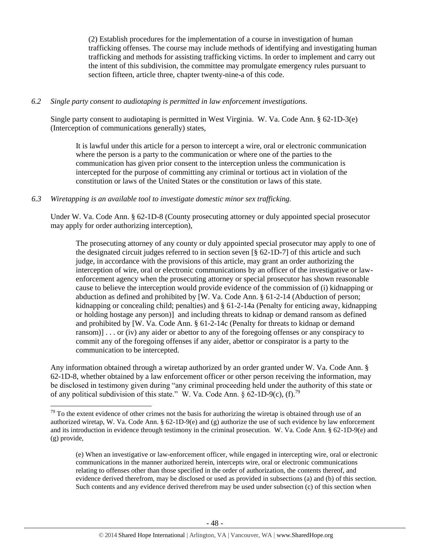(2) Establish procedures for the implementation of a course in investigation of human trafficking offenses. The course may include methods of identifying and investigating human trafficking and methods for assisting trafficking victims. In order to implement and carry out the intent of this subdivision, the committee may promulgate emergency rules pursuant to section fifteen, article three, chapter twenty-nine-a of this code.

#### *6.2 Single party consent to audiotaping is permitted in law enforcement investigations.*

Single party consent to audiotaping is permitted in West Virginia. W. Va. Code Ann. § 62-1D-3(e) (Interception of communications generally) states,

It is lawful under this article for a person to intercept a wire, oral or electronic communication where the person is a party to the communication or where one of the parties to the communication has given prior consent to the interception unless the communication is intercepted for the purpose of committing any criminal or tortious act in violation of the constitution or laws of the United States or the constitution or laws of this state.

#### *6.3 Wiretapping is an available tool to investigate domestic minor sex trafficking.*

l

Under W. Va. Code Ann. § 62-1D-8 (County prosecuting attorney or duly appointed special prosecutor may apply for order authorizing interception),

The prosecuting attorney of any county or duly appointed special prosecutor may apply to one of the designated circuit judges referred to in section seven [§ 62-1D-7] of this article and such judge, in accordance with the provisions of this article, may grant an order authorizing the interception of wire, oral or electronic communications by an officer of the investigative or lawenforcement agency when the prosecuting attorney or special prosecutor has shown reasonable cause to believe the interception would provide evidence of the commission of (i) kidnapping or abduction as defined and prohibited by [W. Va. Code Ann. § 61-2-14 (Abduction of person; kidnapping or concealing child; penalties) and § 61-2-14a (Penalty for enticing away, kidnapping or holding hostage any person)] and including threats to kidnap or demand ransom as defined and prohibited by [W. Va. Code Ann. § 61-2-14c (Penalty for threats to kidnap or demand ransom)] . . . or (iv) any aider or abettor to any of the foregoing offenses or any conspiracy to commit any of the foregoing offenses if any aider, abettor or conspirator is a party to the communication to be intercepted.

Any information obtained through a wiretap authorized by an order granted under W. Va. Code Ann. § 62-1D-8, whether obtained by a law enforcement officer or other person receiving the information, may be disclosed in testimony given during "any criminal proceeding held under the authority of this state or of any political subdivision of this state." W. Va. Code Ann.  $\S 62$ -1D-9(c), (f).<sup>79</sup>

 $79$  To the extent evidence of other crimes not the basis for authorizing the wiretap is obtained through use of an authorized wiretap, W. Va. Code Ann. § 62-1D-9(e) and (g) authorize the use of such evidence by law enforcement and its introduction in evidence through testimony in the criminal prosecution. W. Va. Code Ann. § 62-1D-9(e) and (g) provide,

<sup>(</sup>e) When an investigative or law-enforcement officer, while engaged in intercepting wire, oral or electronic communications in the manner authorized herein, intercepts wire, oral or electronic communications relating to offenses other than those specified in the order of authorization, the contents thereof, and evidence derived therefrom, may be disclosed or used as provided in subsections (a) and (b) of this section. Such contents and any evidence derived therefrom may be used under subsection (c) of this section when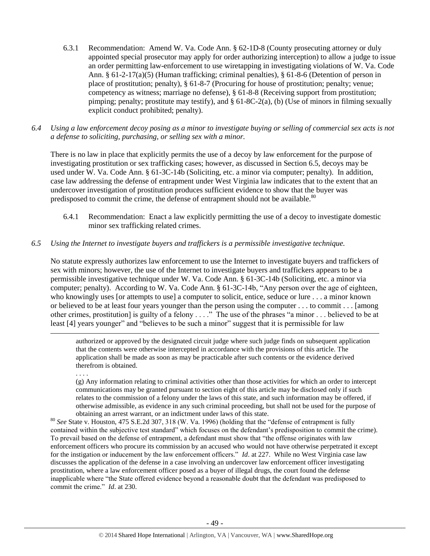- 6.3.1 Recommendation: Amend W. Va. Code Ann. § 62-1D-8 (County prosecuting attorney or duly appointed special prosecutor may apply for order authorizing interception) to allow a judge to issue an order permitting law-enforcement to use wiretapping in investigating violations of W. Va. Code Ann. § 61-2-17(a)(5) (Human trafficking; criminal penalties), § 61-8-6 (Detention of person in place of prostitution; penalty), § 61-8-7 (Procuring for house of prostitution; penalty; venue; competency as witness; marriage no defense), § 61-8-8 (Receiving support from prostitution; pimping; penalty; prostitute may testify), and § 61-8C-2(a), (b) (Use of minors in filming sexually explicit conduct prohibited; penalty).
- *6.4 Using a law enforcement decoy posing as a minor to investigate buying or selling of commercial sex acts is not a defense to soliciting, purchasing, or selling sex with a minor.*

There is no law in place that explicitly permits the use of a decoy by law enforcement for the purpose of investigating prostitution or sex trafficking cases; however, as discussed in Section 6.5, decoys may be used under W. Va. Code Ann. § 61-3C-14b (Soliciting, etc. a minor via computer; penalty). In addition, case law addressing the defense of entrapment under West Virginia law indicates that to the extent that an undercover investigation of prostitution produces sufficient evidence to show that the buyer was predisposed to commit the crime, the defense of entrapment should not be available.<sup>80</sup>

6.4.1 Recommendation: Enact a law explicitly permitting the use of a decoy to investigate domestic minor sex trafficking related crimes.

# *6.5 Using the Internet to investigate buyers and traffickers is a permissible investigative technique.*

No statute expressly authorizes law enforcement to use the Internet to investigate buyers and traffickers of sex with minors; however, the use of the Internet to investigate buyers and traffickers appears to be a permissible investigative technique under W. Va. Code Ann. § 61-3C-14b (Soliciting, etc. a minor via computer; penalty). According to W. Va. Code Ann. § 61-3C-14b, "Any person over the age of eighteen, who knowingly uses [or attempts to use] a computer to solicit, entice, seduce or lure . . . a minor known or believed to be at least four years younger than the person using the computer . . . to commit . . . [among other crimes, prostitution] is guilty of a felony . . . ." The use of the phrases "a minor . . . believed to be at least [4] years younger" and "believes to be such a minor" suggest that it is permissible for law

authorized or approved by the designated circuit judge where such judge finds on subsequent application that the contents were otherwise intercepted in accordance with the provisions of this article. The application shall be made as soon as may be practicable after such contents or the evidence derived therefrom is obtained.

. . . .

 $\overline{a}$ 

(g) Any information relating to criminal activities other than those activities for which an order to intercept communications may be granted pursuant to section eight of this article may be disclosed only if such relates to the commission of a felony under the laws of this state, and such information may be offered, if otherwise admissible, as evidence in any such criminal proceeding, but shall not be used for the purpose of obtaining an arrest warrant, or an indictment under laws of this state.

<sup>80</sup> *See* State v. Houston, 475 S.E.2d 307, 318 (W. Va. 1996) (holding that the "defense of entrapment is fully contained within the subjective test standard" which focuses on the defendant's predisposition to commit the crime). To prevail based on the defense of entrapment, a defendant must show that "the offense originates with law enforcement officers who procure its commission by an accused who would not have otherwise perpetrated it except for the instigation or inducement by the law enforcement officers." *Id*. at 227. While no West Virginia case law discusses the application of the defense in a case involving an undercover law enforcement officer investigating prostitution, where a law enforcement officer posed as a buyer of illegal drugs, the court found the defense inapplicable where "the State offered evidence beyond a reasonable doubt that the defendant was predisposed to commit the crime." *Id*. at 230.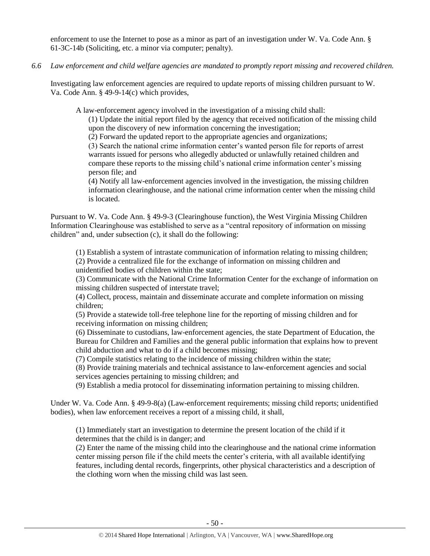enforcement to use the Internet to pose as a minor as part of an investigation under W. Va. Code Ann. § 61-3C-14b (Soliciting, etc. a minor via computer; penalty).

*6.6 Law enforcement and child welfare agencies are mandated to promptly report missing and recovered children.*

Investigating law enforcement agencies are required to update reports of missing children pursuant to W. Va. Code Ann. § 49-9-14(c) which provides,

A law-enforcement agency involved in the investigation of a missing child shall:

(1) Update the initial report filed by the agency that received notification of the missing child upon the discovery of new information concerning the investigation;

(2) Forward the updated report to the appropriate agencies and organizations;

(3) Search the national crime information center's wanted person file for reports of arrest warrants issued for persons who allegedly abducted or unlawfully retained children and compare these reports to the missing child's national crime information center's missing person file; and

(4) Notify all law-enforcement agencies involved in the investigation, the missing children information clearinghouse, and the national crime information center when the missing child is located.

Pursuant to W. Va. Code Ann. § 49-9-3 (Clearinghouse function), the West Virginia Missing Children Information Clearinghouse was established to serve as a "central repository of information on missing children" and, under subsection (c), it shall do the following:

(1) Establish a system of intrastate communication of information relating to missing children; (2) Provide a centralized file for the exchange of information on missing children and unidentified bodies of children within the state;

(3) Communicate with the National Crime Information Center for the exchange of information on missing children suspected of interstate travel;

(4) Collect, process, maintain and disseminate accurate and complete information on missing children;

(5) Provide a statewide toll-free telephone line for the reporting of missing children and for receiving information on missing children;

(6) Disseminate to custodians, law-enforcement agencies, the state Department of Education, the Bureau for Children and Families and the general public information that explains how to prevent child abduction and what to do if a child becomes missing;

(7) Compile statistics relating to the incidence of missing children within the state;

(8) Provide training materials and technical assistance to law-enforcement agencies and social services agencies pertaining to missing children; and

(9) Establish a media protocol for disseminating information pertaining to missing children.

Under W. Va. Code Ann. § 49-9-8(a) (Law-enforcement requirements; missing child reports; unidentified bodies), when law enforcement receives a report of a missing child, it shall,

(1) Immediately start an investigation to determine the present location of the child if it determines that the child is in danger; and

(2) Enter the name of the missing child into the clearinghouse and the national crime information center missing person file if the child meets the center's criteria, with all available identifying features, including dental records, fingerprints, other physical characteristics and a description of the clothing worn when the missing child was last seen.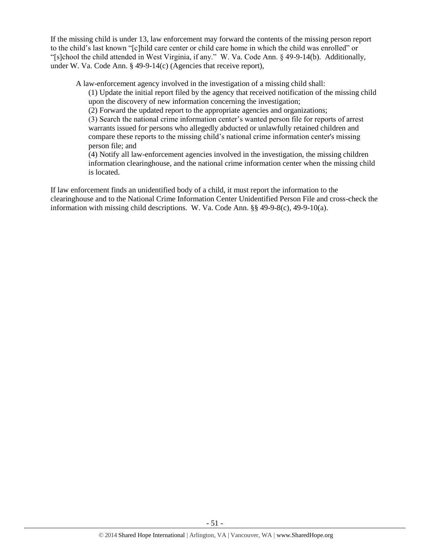If the missing child is under 13, law enforcement may forward the contents of the missing person report to the child's last known "[c]hild care center or child care home in which the child was enrolled" or "[s]chool the child attended in West Virginia, if any." W. Va. Code Ann. § 49-9-14(b). Additionally, under W. Va. Code Ann. § 49-9-14(c) (Agencies that receive report),

A law-enforcement agency involved in the investigation of a missing child shall:

(1) Update the initial report filed by the agency that received notification of the missing child upon the discovery of new information concerning the investigation;

(2) Forward the updated report to the appropriate agencies and organizations;

(3) Search the national crime information center's wanted person file for reports of arrest warrants issued for persons who allegedly abducted or unlawfully retained children and compare these reports to the missing child's national crime information center's missing person file; and

(4) Notify all law-enforcement agencies involved in the investigation, the missing children information clearinghouse, and the national crime information center when the missing child is located.

If law enforcement finds an unidentified body of a child, it must report the information to the clearinghouse and to the National Crime Information Center Unidentified Person File and cross-check the information with missing child descriptions. W. Va. Code Ann. §§ 49-9-8(c), 49-9-10(a).